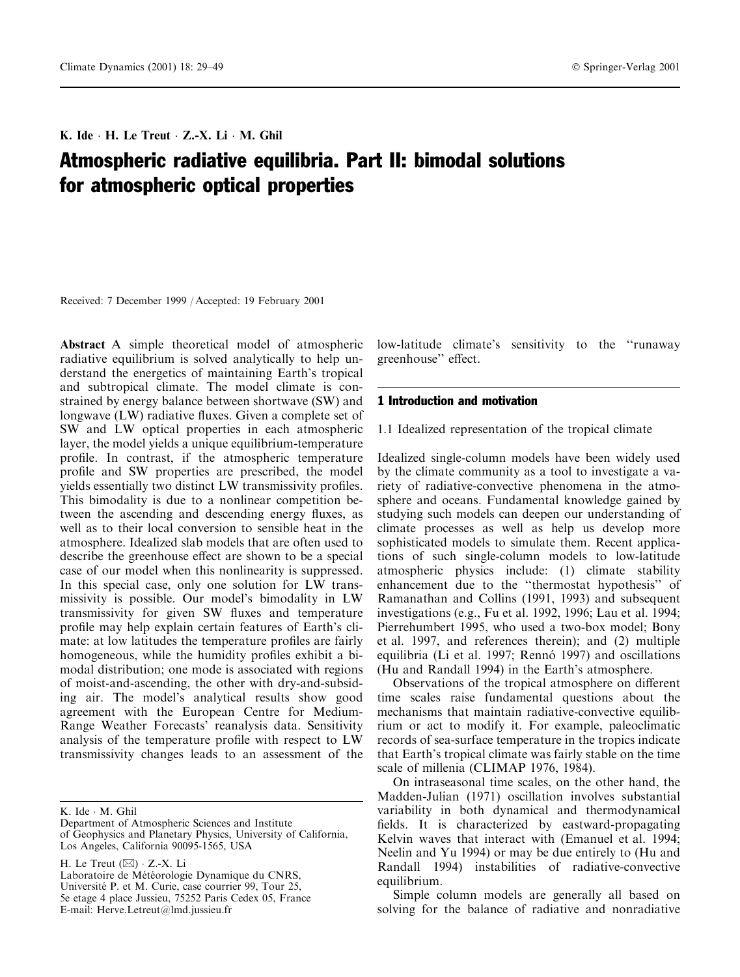# K. Ide  $\cdot$  H. Le Treut  $\cdot$  Z.-X. Li  $\cdot$  M. Ghil

# Atmospheric radiative equilibria. Part II: bimodal solutions for atmospheric optical properties

Received: 7 December 1999 / Accepted: 19 February 2001

Abstract A simple theoretical model of atmospheric radiative equilibrium is solved analytically to help understand the energetics of maintaining Earth's tropical and subtropical climate. The model climate is constrained by energy balance between shortwave (SW) and longwave (LW) radiative fluxes. Given a complete set of SW and LW optical properties in each atmospheric layer, the model yields a unique equilibrium-temperature profile. In contrast, if the atmospheric temperature profile and SW properties are prescribed, the model yields essentially two distinct LW transmissivity profiles. This bimodality is due to a nonlinear competition between the ascending and descending energy fluxes, as well as to their local conversion to sensible heat in the atmosphere. Idealized slab models that are often used to describe the greenhouse effect are shown to be a special case of our model when this nonlinearity is suppressed. In this special case, only one solution for LW transmissivity is possible. Our model's bimodality in LW transmissivity for given SW fluxes and temperature profile may help explain certain features of Earth's climate: at low latitudes the temperature profiles are fairly homogeneous, while the humidity profiles exhibit a bimodal distribution; one mode is associated with regions of moist-and-ascending, the other with dry-and-subsiding air. The model's analytical results show good agreement with the European Centre for Medium-Range Weather Forecasts' reanalysis data. Sensitivity analysis of the temperature profile with respect to LW transmissivity changes leads to an assessment of the

H. Le Treut  $(\boxtimes) \cdot Z.-X$ . Li

low-latitude climate's sensitivity to the "runaway greenhouse" effect.

## **1 Introduction and motivation**

1.1 Idealized representation of the tropical climate

Idealized single-column models have been widely used by the climate community as a tool to investigate a variety of radiative-convective phenomena in the atmosphere and oceans. Fundamental knowledge gained by studying such models can deepen our understanding of climate processes as well as help us develop more sophisticated models to simulate them. Recent applications of such single-column models to low-latitude atmospheric physics include: (1) climate stability enhancement due to the "thermostat hypothesis" of Ramanathan and Collins (1991, 1993) and subsequent investigations (e.g., Fu et al. 1992, 1996; Lau et al. 1994; Pierrehumbert 1995, who used a two-box model; Bony et al. 1997, and references therein); and (2) multiple equilibria (Li et al. 1997; Rennó 1997) and oscillations (Hu and Randall 1994) in the Earth's atmosphere.

Observations of the tropical atmosphere on different time scales raise fundamental questions about the mechanisms that maintain radiative-convective equilibrium or act to modify it. For example, paleoclimatic records of sea-surface temperature in the tropics indicate that Earth's tropical climate was fairly stable on the time scale of millenia (CLIMAP 1976, 1984).

On intraseasonal time scales, on the other hand, the Madden-Julian (1971) oscillation involves substantial variability in both dynamical and thermodynamical fields. It is characterized by eastward-propagating Kelvin waves that interact with (Emanuel et al. 1994; Neelin and Yu 1994) or may be due entirely to (Hu and Randall 1994) instabilities of radiative-convective equilibrium.

Simple column models are generally all based on solving for the balance of radiative and nonradiative

K. Ide · M. Ghil

Department of Atmospheric Sciences and Institute of Geophysics and Planetary Physics, University of California, Los Angeles, California 90095-1565, USA

Laboratoire de Météorologie Dynamique du CNRS, Université P. et M. Curie, case courrier 99, Tour 25,

<sup>5</sup>e etage 4 place Jussieu, 75252 Paris Cedex 05, France E-mail: Herve.Letreut@lmd.jussieu.fr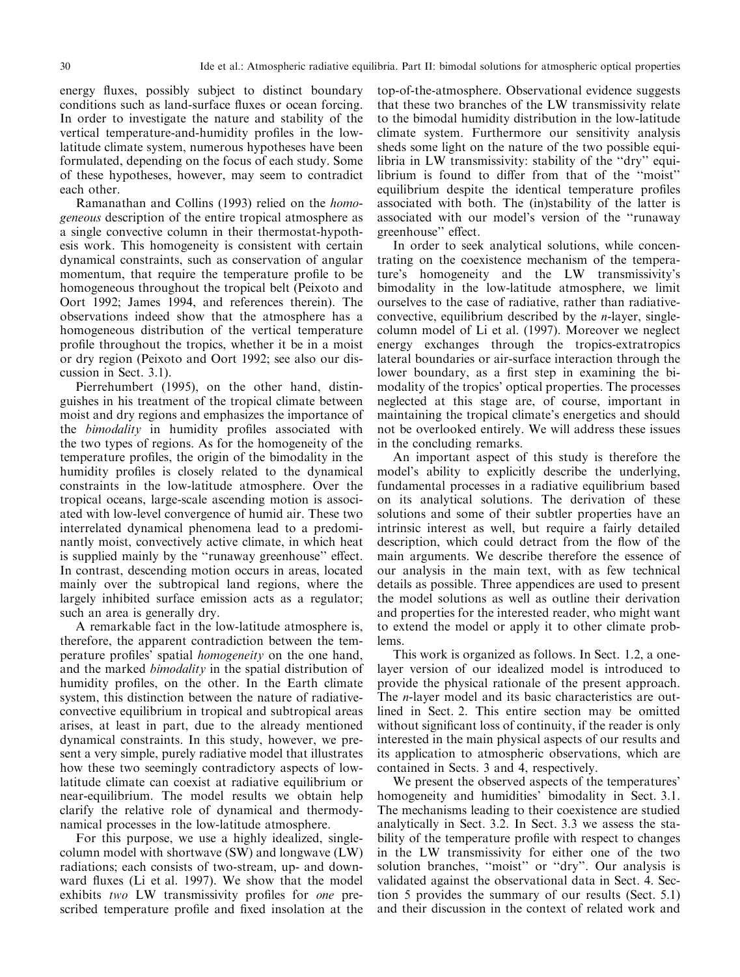energy fluxes, possibly subject to distinct boundary conditions such as land-surface fluxes or ocean forcing. In order to investigate the nature and stability of the vertical temperature-and-humidity profiles in the lowlatitude climate system, numerous hypotheses have been formulated, depending on the focus of each study. Some of these hypotheses, however, may seem to contradict each other.

Ramanathan and Collins (1993) relied on the *homo*geneous description of the entire tropical atmosphere as a single convective column in their thermostat-hypothesis work. This homogeneity is consistent with certain dynamical constraints, such as conservation of angular momentum, that require the temperature profile to be homogeneous throughout the tropical belt (Peixoto and Oort 1992; James 1994, and references therein). The observations indeed show that the atmosphere has a homogeneous distribution of the vertical temperature profile throughout the tropics, whether it be in a moist or dry region (Peixoto and Oort 1992; see also our discussion in Sect. 3.1).

Pierrehumbert (1995), on the other hand, distinguishes in his treatment of the tropical climate between moist and dry regions and emphasizes the importance of the *bimodality* in humidity profiles associated with the two types of regions. As for the homogeneity of the temperature profiles, the origin of the bimodality in the humidity profiles is closely related to the dynamical constraints in the low-latitude atmosphere. Over the tropical oceans, large-scale ascending motion is associated with low-level convergence of humid air. These two interrelated dynamical phenomena lead to a predominantly moist, convectively active climate, in which heat is supplied mainly by the "runaway greenhouse" effect. In contrast, descending motion occurs in areas, located mainly over the subtropical land regions, where the largely inhibited surface emission acts as a regulator; such an area is generally dry.

A remarkable fact in the low-latitude atmosphere is, therefore, the apparent contradiction between the temperature profiles' spatial *homogeneity* on the one hand, and the marked *bimodality* in the spatial distribution of humidity profiles, on the other. In the Earth climate system, this distinction between the nature of radiativeconvective equilibrium in tropical and subtropical areas arises, at least in part, due to the already mentioned dynamical constraints. In this study, however, we present a very simple, purely radiative model that illustrates how these two seemingly contradictory aspects of lowlatitude climate can coexist at radiative equilibrium or near-equilibrium. The model results we obtain help clarify the relative role of dynamical and thermodynamical processes in the low-latitude atmosphere.

For this purpose, we use a highly idealized, singlecolumn model with shortwave  $(SW)$  and longwave  $(LW)$ radiations; each consists of two-stream, up- and downward fluxes (Li et al. 1997). We show that the model exhibits two LW transmissivity profiles for *one* prescribed temperature profile and fixed insolation at the

top-of-the-atmosphere. Observational evidence suggests that these two branches of the LW transmissivity relate to the bimodal humidity distribution in the low-latitude climate system. Furthermore our sensitivity analysis sheds some light on the nature of the two possible equilibria in LW transmissivity: stability of the "dry" equilibrium is found to differ from that of the "moist" equilibrium despite the identical temperature profiles associated with both. The (in)stability of the latter is associated with our model's version of the "runaway greenhouse" effect.

In order to seek analytical solutions, while concentrating on the coexistence mechanism of the temperature's homogeneity and the LW transmissivity's bimodality in the low-latitude atmosphere, we limit ourselves to the case of radiative, rather than radiativeconvective, equilibrium described by the *n*-layer, singlecolumn model of Li et al. (1997). Moreover we neglect energy exchanges through the tropics-extratropics lateral boundaries or air-surface interaction through the lower boundary, as a first step in examining the bimodality of the tropics' optical properties. The processes neglected at this stage are, of course, important in maintaining the tropical climate's energetics and should not be overlooked entirely. We will address these issues in the concluding remarks.

An important aspect of this study is therefore the model's ability to explicitly describe the underlying, fundamental processes in a radiative equilibrium based on its analytical solutions. The derivation of these solutions and some of their subtler properties have an intrinsic interest as well, but require a fairly detailed description, which could detract from the flow of the main arguments. We describe therefore the essence of our analysis in the main text, with as few technical details as possible. Three appendices are used to present the model solutions as well as outline their derivation and properties for the interested reader, who might want to extend the model or apply it to other climate problems.

This work is organized as follows. In Sect. 1.2, a onelayer version of our idealized model is introduced to provide the physical rationale of the present approach. The *n*-layer model and its basic characteristics are outlined in Sect. 2. This entire section may be omitted without significant loss of continuity, if the reader is only interested in the main physical aspects of our results and its application to atmospheric observations, which are contained in Sects. 3 and 4, respectively.

We present the observed aspects of the temperatures' homogeneity and humidities' bimodality in Sect. 3.1. The mechanisms leading to their coexistence are studied analytically in Sect. 3.2. In Sect. 3.3 we assess the stability of the temperature profile with respect to changes in the LW transmissivity for either one of the two solution branches, "moist" or "dry". Our analysis is validated against the observational data in Sect. 4. Section 5 provides the summary of our results (Sect.  $5.1$ ) and their discussion in the context of related work and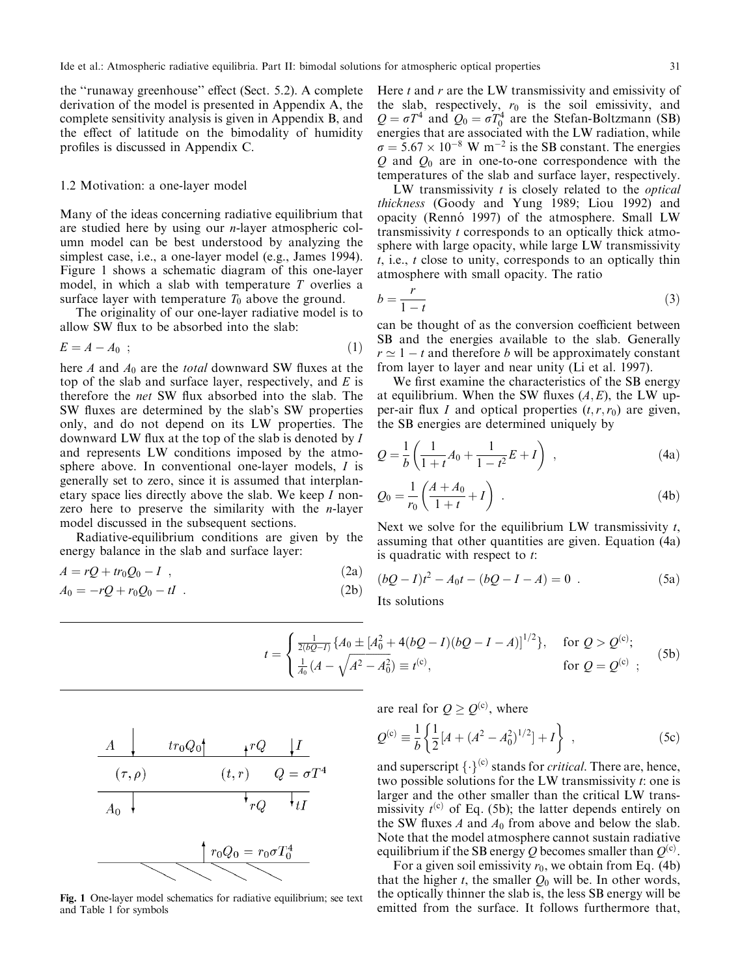the "runaway greenhouse" effect (Sect. 5.2). A complete derivation of the model is presented in Appendix A, the complete sensitivity analysis is given in Appendix B, and the effect of latitude on the bimodality of humidity profiles is discussed in Appendix C.

## 1.2 Motivation: a one-layer model

Many of the ideas concerning radiative equilibrium that are studied here by using our *n*-layer atmospheric column model can be best understood by analyzing the simplest case, i.e., a one-layer model (e.g., James 1994). Figure 1 shows a schematic diagram of this one-layer model, in which a slab with temperature  $T$  overlies a surface layer with temperature  $T_0$  above the ground.

The originality of our one-layer radiative model is to allow SW flux to be absorbed into the slab:

$$
E = A - A_0 \tag{1}
$$

here  $A$  and  $A_0$  are the *total* downward SW fluxes at the top of the slab and surface layer, respectively, and  $E$  is therefore the *net* SW flux absorbed into the slab. The SW fluxes are determined by the slab's SW properties only, and do not depend on its LW properties. The downward LW flux at the top of the slab is denoted by I and represents LW conditions imposed by the atmosphere above. In conventional one-layer models, *I* is generally set to zero, since it is assumed that interplanetary space lies directly above the slab. We keep I nonzero here to preserve the similarity with the  $n$ -layer model discussed in the subsequent sections.

Radiative-equilibrium conditions are given by the energy balance in the slab and surface layer:

$$
A = rQ + tr_0Q_0 - I \t\t(2a)
$$

$$
A_0 = -rQ + r_0Q_0 - tI \t\t(2b)
$$

Here  $t$  and  $r$  are the LW transmissivity and emissivity of the slab, respectively,  $r_0$  is the soil emissivity, and  $Q = \sigma T^4$  and  $Q_0 = \sigma T_0^4$  are the Stefan-Boltzmann (SB) energies that are associated with the LW radiation, while  $\sigma = 5.67 \times 10^{-8}$  W m<sup>-2</sup> is the SB constant. The energies  $Q$  and  $Q_0$  are in one-to-one correspondence with the temperatures of the slab and surface layer, respectively.

LW transmissivity  $t$  is closely related to the *optical* thickness (Goody and Yung 1989; Liou 1992) and opacity (Rennó 1997) of the atmosphere. Small LW transmissivity *t* corresponds to an optically thick atmosphere with large opacity, while large LW transmissivity  $t$ , i.e.,  $t$  close to unity, corresponds to an optically thin atmosphere with small opacity. The ratio

$$
b = \frac{r}{1 - t} \tag{3}
$$

can be thought of as the conversion coefficient between SB and the energies available to the slab. Generally  $r \approx 1 - t$  and therefore b will be approximately constant from layer to layer and near unity (Li et al. 1997).

We first examine the characteristics of the SB energy at equilibrium. When the SW fluxes  $(A, E)$ , the LW upper-air flux I and optical properties  $(t, r, r_0)$  are given, the SB energies are determined uniquely by

$$
Q = \frac{1}{b} \left( \frac{1}{1+t} A_0 + \frac{1}{1-t^2} E + I \right) , \qquad (4a)
$$

$$
Q_0 = \frac{1}{r_0} \left( \frac{A + A_0}{1 + t} + I \right) \tag{4b}
$$

Next we solve for the equilibrium LW transmissivity  $t$ , assuming that other quantities are given. Equation (4a) is quadratic with respect to  $t$ :

$$
(bQ - I)t2 - A0t - (bQ - I - A) = 0.
$$
 (5a)

Its solutions

$$
t = \begin{cases} \frac{1}{2(bQ-I)} \{ A_0 \pm [A_0^2 + 4(bQ-I)(bQ-I-A)]^{1/2} \}, & \text{for } Q > Q^{(c)};\\ \frac{1}{A_0} (A - \sqrt{A^2 - A_0^2}) \equiv t^{(c)}, & \text{for } Q = Q^{(c)}; \end{cases}
$$
(5b)



Fig. 1 One-layer model schematics for radiative equilibrium; see text and Table 1 for symbols

are real for  $Q \geq Q^{(c)}$ , where

$$
Q^{(c)} \equiv \frac{1}{b} \left\{ \frac{1}{2} [A + (A^2 - A_0^2)^{1/2}] + I \right\} , \qquad (5c)
$$

and superscript  $\{\cdot\}^{(c)}$  stands for *critical*. There are, hence, two possible solutions for the LW transmissivity  $t$ : one is larger and the other smaller than the critical LW transmissivity  $t^{(c)}$  of Eq. (5b); the latter depends entirely on the SW fluxes A and  $A_0$  from above and below the slab. Note that the model atmosphere cannot sustain radiative equilibrium if the SB energy Q becomes smaller than  $Q^{(c)}$ .

For a given soil emissivity  $r_0$ , we obtain from Eq. (4b) that the higher  $t$ , the smaller  $Q_0$  will be. In other words, the optically thinner the slab is, the less SB energy will be emitted from the surface. It follows furthermore that,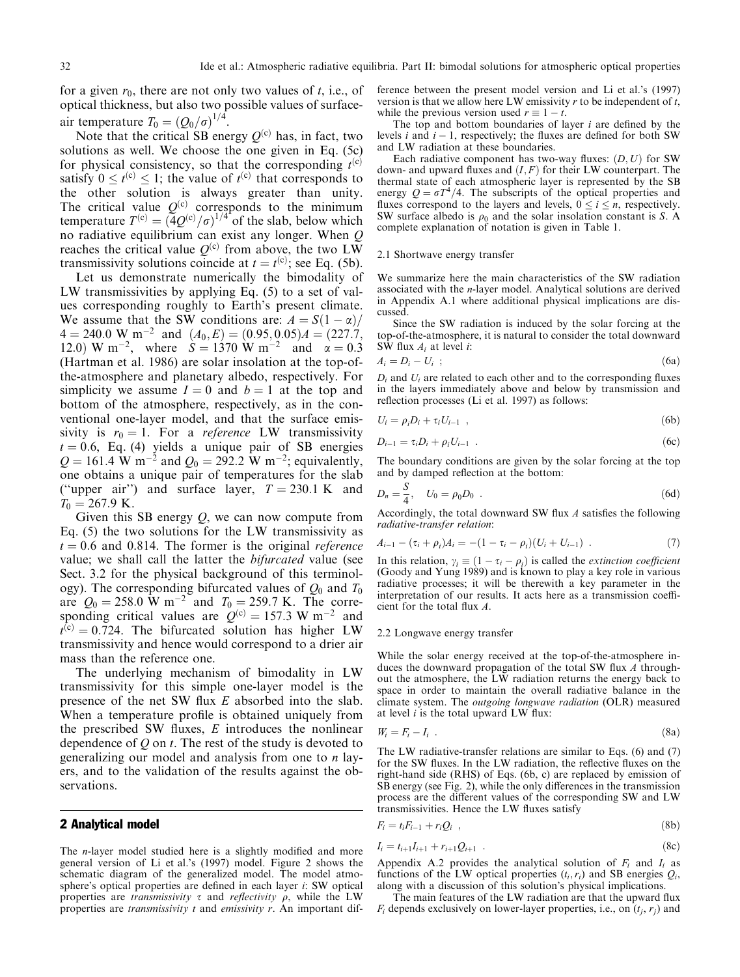for a given  $r_0$ , there are not only two values of t, i.e., of optical thickness, but also two possible values of surfaceair temperature  $T_0 = (Q_0/\sigma)^{1/4}$ .

Note that the critical SB energy  $Q^{(c)}$  has, in fact, two solutions as well. We choose the one given in Eq. (5c) for physical consistency, so that the corresponding  $t^{(c)}$ satisfy  $0 \le t^{(c)} \le 1$ ; the value of  $t^{(c)}$  that corresponds to the other solution is always greater than unity. The critical value  $Q^{(c)}$  corresponds to the minimum temperature  $T^{(c)} = (4Q^{(c)}/\sigma)^{1/4}$  of the slab, below which no radiative equilibrium can exist any longer. When  $Q$ reaches the critical value  $Q^{(c)}$  from above, the two LW transmissivity solutions coincide at  $t = t^{(c)}$ ; see Eq. (5b).

Let us demonstrate numerically the bimodality of LW transmissivities by applying Eq. (5) to a set of values corresponding roughly to Earth's present climate. We assume that the SW conditions are:  $A = S(1 - \alpha)$  $4 = 240.0 \text{ W m}^{-2}$  and  $(A_0, E) = (0.95, 0.05)A = (227.7,$ 12.0) W m<sup>-2</sup>, where  $S = 1370$  W m<sup>-2</sup> and  $\alpha = 0.3$ (Hartman et al. 1986) are solar insolation at the top-ofthe-atmosphere and planetary albedo, respectively. For simplicity we assume  $I = 0$  and  $b = 1$  at the top and bottom of the atmosphere, respectively, as in the conventional one-layer model, and that the surface emissivity is  $r_0 = 1$ . For a *reference* LW transmissivity  $t = 0.6$ , Eq. (4) yields a unique pair of SB energies  $Q = 161.4 \text{ W m}^{-2}$  and  $Q_0 = 292.2 \text{ W m}^{-2}$ ; equivalently, one obtains a unique pair of temperatures for the slab ("upper air") and surface layer,  $T = 230.1$  K and  $T_0 = 267.9$  K.

Given this SB energy  $Q$ , we can now compute from Eq.  $(5)$  the two solutions for the LW transmissivity as  $t = 0.6$  and 0.814. The former is the original *reference* value; we shall call the latter the *bifurcated* value (see Sect. 3.2 for the physical background of this terminology). The corresponding bifurcated values of  $Q_0$  and  $T_0$ are  $Q_0 = 258.0 \text{ W m}^{-2}$  and  $T_0 = 259.7 \text{ K}$ . The corresponding critical values are  $Q^{(c)} = 157.3 \text{ W m}^{-2}$  and  $t^{(c)} = 0.724$ . The bifurcated solution has higher LW transmissivity and hence would correspond to a drier air mass than the reference one.

The underlying mechanism of bimodality in LW transmissivity for this simple one-layer model is the presence of the net SW flux  $E$  absorbed into the slab. When a temperature profile is obtained uniquely from the prescribed SW fluxes,  $E$  introduces the nonlinear dependence of  $Q$  on  $t$ . The rest of the study is devoted to generalizing our model and analysis from one to  $n$  layers, and to the validation of the results against the observations.

## **2 Analytical model**

The *n*-layer model studied here is a slightly modified and more general version of Li et al.'s (1997) model. Figure 2 shows the schematic diagram of the generalized model. The model atmosphere's optical properties are defined in each layer *i*: SW optical properties are *transmissivity*  $\tau$  and *reflectivity*  $\rho$ , while the LW properties are *transmissivity*  $t$  and *emissivity*  $r$ . An important difference between the present model version and Li et al.'s (1997) version is that we allow here LW emissivity r to be independent of  $\vec{t}$ , while the previous version used  $r \equiv 1 - t$ .

The top and bottom boundaries of layer  $i$  are defined by the levels *i* and  $i - 1$ , respectively; the fluxes are defined for both SW and LW radiation at these boundaries.

Each radiative component has two-way fluxes:  $(D, U)$  for SW down- and upward fluxes and  $(I, F)$  for their LW counterpart. The thermal state of each atmospheric layer is represented by the SB energy  $Q = \sigma T^4/4$ . The subscripts of the optical properties and fluxes correspond to the layers and levels,  $0 \le i \le n$ , respectively. SW surface albedo is  $\rho_0$  and the solar insolation constant is S. A complete explanation of notation is given in Table 1.

#### 2.1 Shortwave energy transfer

We summarize here the main characteristics of the SW radiation associated with the  $n$ -layer model. Analytical solutions are derived in Appendix A.1 where additional physical implications are discussed.

Since the SW radiation is induced by the solar forcing at the top-of-the-atmosphere, it is natural to consider the total downward SW flux  $A_i$  at level *i*:

$$
A_i = D_i - U_i \tag{6a}
$$

 $D_i$  and  $U_i$  are related to each other and to the corresponding fluxes in the layers immediately above and below by transmission and reflection processes (Li et al. 1997) as follows:

$$
U_i = \rho_i D_i + \tau_i U_{i-1} \tag{6b}
$$

$$
D_{i-1} = \tau_i D_i + \rho_i U_{i-1} \tag{6c}
$$

The boundary conditions are given by the solar forcing at the top and by damped reflection at the bottom:

$$
D_n = \frac{S}{4}, \quad U_0 = \rho_0 D_0 \tag{6d}
$$

Accordingly, the total downward SW flux  $A$  satisfies the following radiative-transfer relation:

$$
A_{i-1} - (\tau_i + \rho_i)A_i = -(1 - \tau_i - \rho_i)(U_i + U_{i-1})
$$
 (7)

In this relation,  $\gamma_i \equiv (1 - \tau_i - \rho_i)$  is called the *extinction coefficient* (Goody and Yung 1989) and is known to play a key role in various radiative processes; it will be therewith a key parameter in the interpretation of our results. It acts here as a transmission coefficient for the total flux A.

#### 2.2 Longwave energy transfer

While the solar energy received at the top-of-the-atmosphere induces the downward propagation of the total SW flux A throughout the atmosphere, the LW radiation returns the energy back to space in order to maintain the overall radiative balance in the climate system. The *outgoing longwave radiation* (OLR) measured at level  $i$  is the total upward LW flux:

$$
W_i = F_i - I_i \tag{8a}
$$

The LW radiative-transfer relations are similar to Eqs. (6) and (7) for the SW fluxes. In the LW radiation, the reflective fluxes on the right-hand side (RHS) of Eqs. (6b, c) are replaced by emission of SB energy (see Fig. 2), while the only differences in the transmission process are the different values of the corresponding SW and LW transmissivities. Hence the LW fluxes satisfy

$$
F_i = t_i F_{i-1} + r_i Q_i \tag{8b}
$$

$$
I_i = t_{i+1}I_{i+1} + r_{i+1}Q_{i+1} \t\t(8c)
$$

Appendix A.2 provides the analytical solution of  $F_i$  and  $I_i$  as functions of the LW optical properties  $(t_i, r_i)$  and SB energies  $Q_i$ , along with a discussion of this solution's physical implications.

The main features of the LW radiation are that the upward flux  $F_i$  depends exclusively on lower-layer properties, i.e., on  $(t_i, r_i)$  and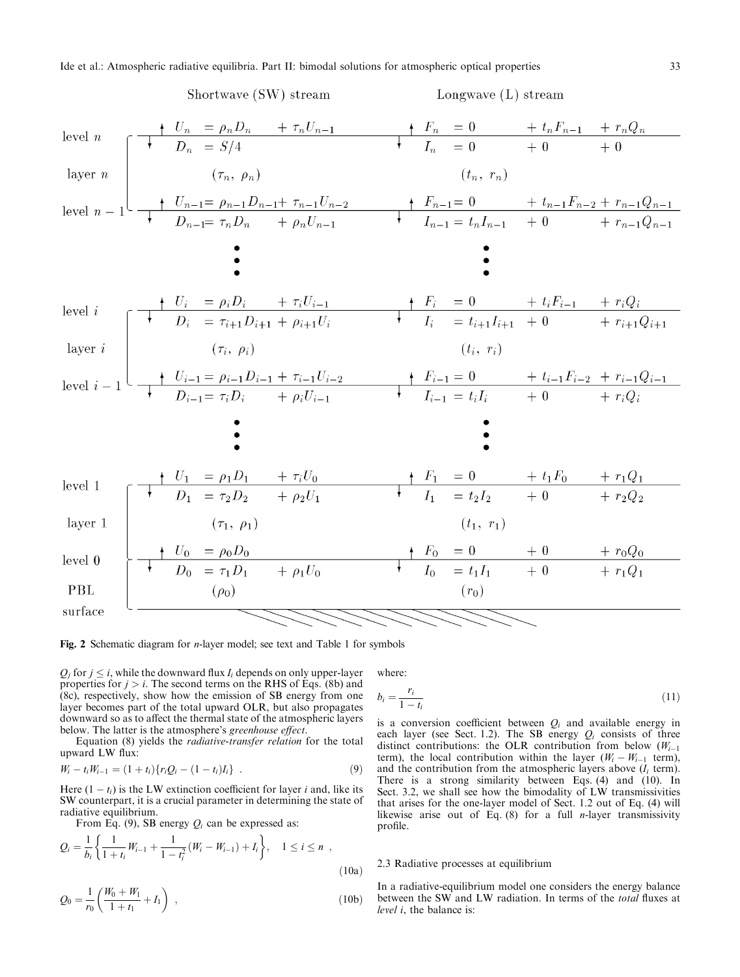| Shortwave (SW) stream | Longwave (L) stream                                                                                                                                                                                                                                                                                                                                                                                                                                                                                                                                                                                                                                                                                                                                                                                                                                                                                                                                                                                                                                                                                                                                                                                                                                                                                                                                                                                                                         |
|-----------------------|---------------------------------------------------------------------------------------------------------------------------------------------------------------------------------------------------------------------------------------------------------------------------------------------------------------------------------------------------------------------------------------------------------------------------------------------------------------------------------------------------------------------------------------------------------------------------------------------------------------------------------------------------------------------------------------------------------------------------------------------------------------------------------------------------------------------------------------------------------------------------------------------------------------------------------------------------------------------------------------------------------------------------------------------------------------------------------------------------------------------------------------------------------------------------------------------------------------------------------------------------------------------------------------------------------------------------------------------------------------------------------------------------------------------------------------------|
| level $n$             | \n $\begin{array}{c}\n \left\{\n \begin{array}{c}\n + U_n = \rho_n D_n + \tau_n U_{n-1} + F_n = 0 \\  \tau_n, \rho_n\n \end{array}\n \right.\n \left.\n \begin{array}{c}\n + U_{n-1} = S/4 \\  \tau_n = 0\n \end{array}\n \right.\n \left.\n \begin{array}{c}\n + U_{n-1} = \rho_n - I_n U_{n-1} + \tau_{n-1} U_{n-2} \\  \tau_n = 0\n \end{array}\n \right.\n \left.\n \begin{array}{c}\n + U_{n-1} = \rho_{n-1} D_{n-1} + \tau_{n-1} U_{n-2} + F_{n-1} = 0 \\  \tau_{n-1} = t_n I_{n-1} + 0\n \end{array}\n \right.\n \left.\n \begin{array}{c}\n + U_{n-1} = \tau_n D_n + \rho_n U_{n-1} + F_n = 0 \\  \tau_{n-1} = t_n I_{n-1} + 0\n \end{array}\n \right.\n \left.\n \begin{array}{c}\n + U_{n-1} = \tau_n D_n + \rho_n U_{n-1} + F_n = 0 \\  \tau_{n-1} = t_n I_{n-1} + 0\n \end{array}\n \right.\n \left.\n \begin{array}{c}\n + U_{n-1} = \rho_i D_n + \tau_n U_{n-1} \\  \tau_n = 0\n \end{array}\n \right.\n \left.\n \begin{array}{c}\n + U_{n-1} = \rho_i D_n + \tau_n U_{n-1} \\  \tau_n = 0\n \end{array}\n \right.\n \left.\n \begin{array}{c}\n + U_{n-1} = \rho_i D_n + \tau_n U_{n-1} \\  \tau_n = 0\n \end{array}\n \right.\n \left.\n \begin{array}{c}\n + U_{n-1} = \rho_i D_n + \tau_{n-1} U_{n-2} \\  \tau_{n-1} = t_n I_{n-1} + 0\n \end{array}\n \right.\n \left.\n \begin{array}{c}\n + U_{n-1} = \rho_i D_n + \tau_n U_{n-1} \\  \tau_{n-1} = t_n I_n + 0\n \end{array}\n \right.\n \left.\n \begin{array}{c}\n$ |

Fig. 2 Schematic diagram for *n*-layer model; see text and Table 1 for symbols

 $Q_i$  for  $j \leq i$ , while the downward flux  $I_i$  depends on only upper-layer properties for  $j > i$ . The second terms on the RHS of Eqs. (8b) and (8c), respectively, show how the emission of SB energy from one layer becomes part of the total upward OLR, but also propagates downward so as to affect the thermal state of the atmospheric layers below. The latter is the atmosphere's greenhouse effect.

Equation (8) yields the *radiative-transfer relation* for the total upward LW flux:

$$
W_i - t_i W_{i-1} = (1 + t_i) \{ r_i Q_i - (1 - t_i) I_i \} \t . \t\t(9)
$$

Here  $(1 - t_i)$  is the LW extinction coefficient for layer *i* and, like its SW counterpart, it is a crucial parameter in determining the state of radiative equilibrium.

From Eq. (9), SB energy  $Q_i$  can be expressed as:

$$
Q_i = \frac{1}{b_i} \left\{ \frac{1}{1+t_i} W_{i-1} + \frac{1}{1-t_i^2} (W_i - W_{i-1}) + I_i \right\}, \quad 1 \le i \le n \tag{10a}
$$

$$
Q_0 = \frac{1}{r_0} \left( \frac{W_0 + W_1}{1 + t_1} + I_1 \right) , \qquad (10b)
$$

where:

$$
b_i = \frac{r_i}{1 - t_i} \tag{11}
$$

is a conversion coefficient between  $Q_i$  and available energy in each layer (see Sect. 1.2). The SB energy  $Q_i$  consists of three distinct contributions: the OLR contribution from below  $(W_{i-1})$ term), the local contribution within the layer  $(W_i - W_{i-1}$  term), and the contribution from the atmospheric layers above  $(I_i \text{ term})$ . There is a strong similarity between Eqs. (4) and (10). In Sect. 3.2, we shall see how the bimodality of LW transmissivities that arises for the one-layer model of Sect. 1.2 out of Eq. (4) will likewise arise out of Eq.  $(8)$  for a full *n*-layer transmissivity profile.

## 2.3 Radiative processes at equilibrium

In a radiative-equilibrium model one considers the energy balance between the SW and LW radiation. In terms of the *total* fluxes at level i, the balance is: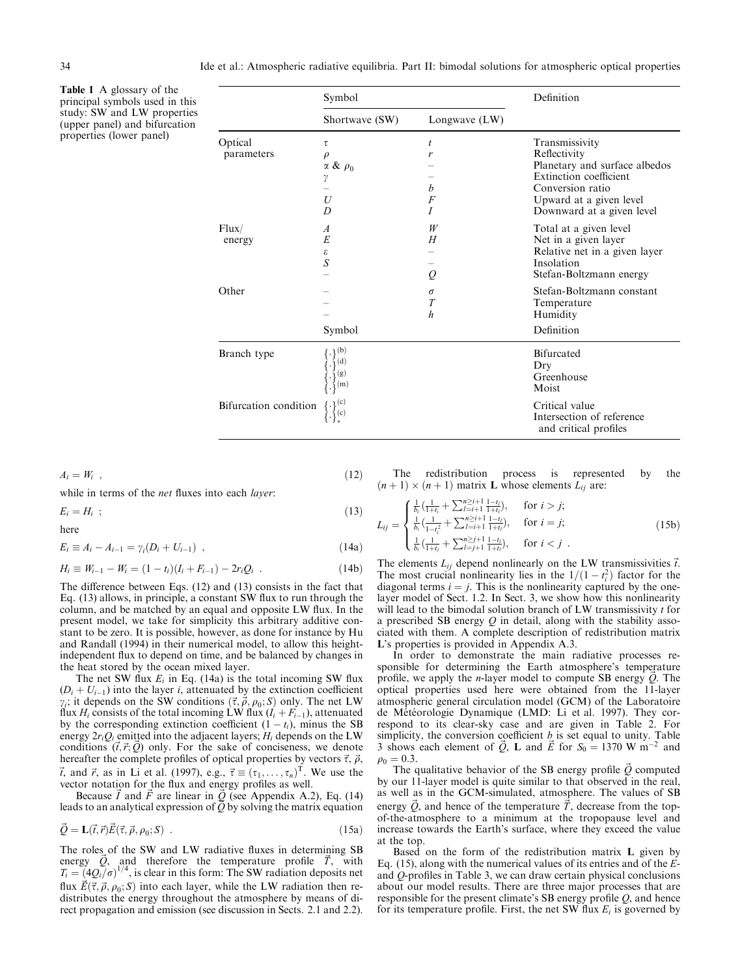Table 1 A glossary of the principal symbols used in this study: SW and LW properties (upper panel) and bifurcation properties (lower panel)

|                       | Symbol                                            |                                                 | Definition                                                                                                                                                                   |  |  |  |  |
|-----------------------|---------------------------------------------------|-------------------------------------------------|------------------------------------------------------------------------------------------------------------------------------------------------------------------------------|--|--|--|--|
|                       | Shortwave (SW)                                    | Longwave (LW)                                   |                                                                                                                                                                              |  |  |  |  |
| Optical<br>parameters | τ<br>$\rho$<br>$\alpha$ & $\rho_0$<br>γ<br>U<br>D | $\mathfrak{t}$<br>r<br>b<br>F<br>$\overline{I}$ | Transmissivity<br>Reflectivity<br>Planetary and surface albedos<br><b>Extinction</b> coefficient<br>Conversion ratio<br>Upward at a given level<br>Downward at a given level |  |  |  |  |
| Flux/<br>energy       | $\boldsymbol{A}$<br>E<br>ε<br>S                   | W<br>H<br>Q                                     | Total at a given level<br>Net in a given layer<br>Relative net in a given layer<br>Insolation<br>Stefan-Boltzmann energy                                                     |  |  |  |  |
| Other                 | Symbol                                            | $\sigma$<br>T<br>$\boldsymbol{h}$               | Stefan-Boltzmann constant<br>Temperature<br>Humidity<br>Definition                                                                                                           |  |  |  |  |
| Branch type           | $\{\cdot\}^{(b)}$<br>(d)<br>(g)<br>(m)            |                                                 | <b>Bifurcated</b><br>Dry<br>Greenhouse<br>Moist                                                                                                                              |  |  |  |  |
| Bifurcation condition | $\cdot \}^{\rm (c)}$                              |                                                 | Critical value<br>Intersection of reference<br>and critical profiles                                                                                                         |  |  |  |  |

 $(13)$ 

$$
A_i = W_i \tag{12}
$$

while in terms of the *net* fluxes into each *layer*:

$$
E_i=H_i ;
$$

here

$$
E_i \equiv A_i - A_{i-1} = \gamma_i (D_i + U_{i-1}), \qquad (14a)
$$

$$
H_i \equiv W_{i-1} - W_i = (1 - t_i)(I_i + F_{i-1}) - 2r_iQ_i \tag{14b}
$$

The difference between Eqs.  $(12)$  and  $(13)$  consists in the fact that Eq. (13) allows, in principle, a constant SW flux to run through the column, and be matched by an equal and opposite LW flux. In the present model, we take for simplicity this arbitrary additive constant to be zero. It is possible, however, as done for instance by Hu and Randall (1994) in their numerical model, to allow this heightindependent flux to depend on time, and be balanced by changes in the heat stored by the ocean mixed layer.

The net SW flux  $E_i$  in Eq. (14a) is the total incoming SW flux  $(D_i + U_{i-1})$  into the layer *i*, attenuated by the extinction coefficient  $\gamma_i$ ; it depends on the SW conditions  $(\vec{\tau}, \vec{\rho}, \rho_0; S)$  only. The net LW flux  $H_i$  consists of the total incoming LW flux  $(I_i + F_{i-1})$ , attenuated by the corresponding extinction coefficient  $(1 - t_i)$ , minus the SB energy  $2r_iQ_i$  emitted into the adjacent layers;  $H_i$  depends on the LW conditions  $(\vec{t}, \vec{r}; Q)$  only. For the sake of conciseness, we denote hereafter the complete profiles of optical properties by vectors  $\vec{\tau}$ ,  $\vec{\rho}$ ,  $\vec{t}$ , and  $\vec{r}$ , as in Li et al. (1997), e.g.,  $\vec{\tau} \equiv (\tau_1, \dots, \tau_n)^T$ . We use the vector notation for the flux and energy profiles as well.

Because  $\vec{l}$  and  $\vec{F}$  are linear in  $\vec{Q}$  (see Appendix A.2), Eq. (14) leads to an analytical expression of  $\vec{Q}$  by solving the matrix equation

$$
\vec{Q} = \mathbf{L}(\vec{t}, \vec{r}) \vec{E}(\vec{\tau}, \vec{\rho}, \rho_0; S) \tag{15a}
$$

The roles of the SW and LW radiative fluxes in determining SB energy  $\vec{Q}$ , and therefore the temperature profile  $\vec{T}$ , with  $T_i = (4Q_i/\sigma)^{1/4}$ , is clear in this form: The SW radiation deposits net flux  $\vec{E}(\vec{\tau}, \vec{\rho}, \rho_0; S)$  into each layer, while the LW radiation then redistributes the energy throughout the atmosphere by means of direct propagation and emission (see discussion in Sects. 2.1 and 2.2).

The redistribution process is represented  $hv$ the  $(n+1) \times (n+1)$  matrix **L** whose elements  $L_{ii}$  are:

$$
L_{ij} = \begin{cases} \frac{1}{b_i} (\frac{1}{1+t_i} + \sum_{l=i+1}^{n \geq i+1} \frac{1-t_l}{1+t_l}), & \text{for } i > j; \\ \frac{1}{b_i} (\frac{1}{1-t_i^2} + \sum_{l=i+1}^{n \geq i+1} \frac{1-t_l}{1+t_l}), & \text{for } i = j; \\ \frac{1}{b_i} (\frac{1}{1+t_j} + \sum_{l=j+1}^{n \geq j+1} \frac{1-t_l}{1+t_l}), & \text{for } i < j \end{cases}
$$
(15b)

The elements  $L_{ij}$  depend nonlinearly on the LW transmissivities  $\vec{t}$ . The most crucial nonlinearity lies in the  $1/(1-t_i^2)$  factor for the diagonal terms  $i = j$ . This is the nonlinearity captured by the onelayer model of Sect. 1.2. In Sect. 3, we show how this nonlinearity will lead to the bimodal solution branch of LW transmissivity  $t$  for a prescribed SB energy  $Q$  in detail, along with the stability associated with them. A complete description of redistribution matrix L's properties is provided in Appendix A.3.

In order to demonstrate the main radiative processes responsible for determining the Earth atmosphere's temperature profile, we apply the *n*-layer model to compute SB energy  $\dot{Q}$ . The optical properties used here were obtained from the 11-layer atmospheric general circulation model (GCM) of the Laboratoire de Météorologie Dynamique (LMD: Li et al. 1997). They correspond to its clear-sky case and are given in Table 2. For simplicity, the conversion coefficient  $b$  is set equal to unity. Table 3 shows each element of  $\vec{Q}$ , **L** and  $\vec{E}$  for  $S_0 = 1370$  W m<sup>-2</sup> and  $\rho_0 = 0.3.$ 

The qualitative behavior of the SB energy profile  $Q$  computed by our 11-layer model is quite similar to that observed in the real, as well as in the GCM-simulated, atmosphere. The values of SB energy  $\dot{Q}$ , and hence of the temperature  $\vec{T}$ , decrease from the topof-the-atmosphere to a minimum at the tropopause level and increase towards the Earth's surface, where they exceed the value at the top.

Based on the form of the redistribution matrix L given by Eq. (15), along with the numerical values of its entries and of the  $E$ and Q-profiles in Table 3, we can draw certain physical conclusions about our model results. There are three major processes that are responsible for the present climate's SB energy profile  $Q$ , and hence for its temperature profile. First, the net SW flux  $E_i$  is governed by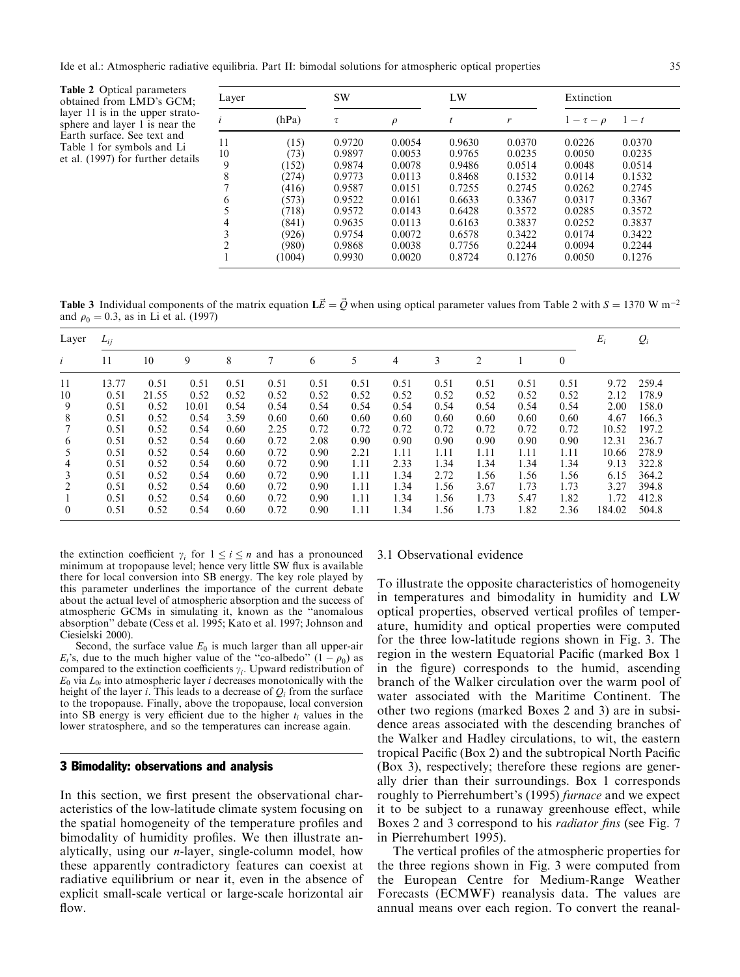Table 2 Optical parameters obtained from LMD's GCM; layer 11 is in the upper stratosphere and laver 1 is near the Earth surface. See text and Table 1 for symbols and Li et al. (1997) for further details

| Layer          |        | <b>SW</b> |        | LW     |        | Extinction    |        |  |
|----------------|--------|-----------|--------|--------|--------|---------------|--------|--|
| (hPa)          |        | τ         | $\rho$ | t      | r      | $1-\tau-\rho$ | $1-t$  |  |
| 11             | (15)   | 0.9720    | 0.0054 | 0.9630 | 0.0370 | 0.0226        | 0.0370 |  |
| 10             | (73)   | 0.9897    | 0.0053 | 0.9765 | 0.0235 | 0.0050        | 0.0235 |  |
| 9              | (152)  | 0.9874    | 0.0078 | 0.9486 | 0.0514 | 0.0048        | 0.0514 |  |
| 8              | (274)  | 0.9773    | 0.0113 | 0.8468 | 0.1532 | 0.0114        | 0.1532 |  |
|                | (416)  | 0.9587    | 0.0151 | 0.7255 | 0.2745 | 0.0262        | 0.2745 |  |
| 6              | (573)  | 0.9522    | 0.0161 | 0.6633 | 0.3367 | 0.0317        | 0.3367 |  |
|                | (718)  | 0.9572    | 0.0143 | 0.6428 | 0.3572 | 0.0285        | 0.3572 |  |
| 4              | (841)  | 0.9635    | 0.0113 | 0.6163 | 0.3837 | 0.0252        | 0.3837 |  |
| 3              | (926)  | 0.9754    | 0.0072 | 0.6578 | 0.3422 | 0.0174        | 0.3422 |  |
| $\overline{2}$ | (980)  | 0.9868    | 0.0038 | 0.7756 | 0.2244 | 0.0094        | 0.2244 |  |
|                | (1004) | 0.9930    | 0.0020 | 0.8724 | 0.1276 | 0.0050        | 0.1276 |  |

**Table 3** Individual components of the matrix equation  $L\vec{E} = \vec{Q}$  when using optical parameter values from Table 2 with  $S = 1370$  W m<sup>-2</sup> and  $\rho_0 = 0.3$ , as in Li et al. (1997)

| Layer    | $L_{ij}$ |       |       |      |        |      |      |      |      |      |      |                | $E_i$  | $Q_i$ |
|----------|----------|-------|-------|------|--------|------|------|------|------|------|------|----------------|--------|-------|
| i        | 11       | 10    | 9     | 8    | $\tau$ | 6    | 5    | 4    | 3    | 2    |      | $\overline{0}$ |        |       |
| 11       | 13.77    | 0.51  | 0.51  | 0.51 | 0.51   | 0.51 | 0.51 | 0.51 | 0.51 | 0.51 | 0.51 | 0.51           | 9.72   | 259.4 |
| 10       | 0.51     | 21.55 | 0.52  | 0.52 | 0.52   | 0.52 | 0.52 | 0.52 | 0.52 | 0.52 | 0.52 | 0.52           | 2.12   | 178.9 |
| 9        | 0.51     | 0.52  | 10.01 | 0.54 | 0.54   | 0.54 | 0.54 | 0.54 | 0.54 | 0.54 | 0.54 | 0.54           | 2.00   | 158.0 |
| 8        | 0.51     | 0.52  | 0.54  | 3.59 | 0.60   | 0.60 | 0.60 | 0.60 | 0.60 | 0.60 | 0.60 | 0.60           | 4.67   | 166.3 |
|          | 0.51     | 0.52  | 0.54  | 0.60 | 2.25   | 0.72 | 0.72 | 0.72 | 0.72 | 0.72 | 0.72 | 0.72           | 10.52  | 197.2 |
| 6        | 0.51     | 0.52  | 0.54  | 0.60 | 0.72   | 2.08 | 0.90 | 0.90 | 0.90 | 0.90 | 0.90 | 0.90           | 12.31  | 236.7 |
| 5        | 0.51     | 0.52  | 0.54  | 0.60 | 0.72   | 0.90 | 2.21 | 1.11 | 1.11 | 1.11 | 1.11 | 1.11           | 10.66  | 278.9 |
| 4        | 0.51     | 0.52  | 0.54  | 0.60 | 0.72   | 0.90 | 1.11 | 2.33 | 1.34 | 1.34 | 1.34 | 1.34           | 9.13   | 322.8 |
| 3        | 0.51     | 0.52  | 0.54  | 0.60 | 0.72   | 0.90 | 1.11 | 1.34 | 2.72 | 1.56 | 1.56 | 1.56           | 6.15   | 364.2 |
| 2        | 0.51     | 0.52  | 0.54  | 0.60 | 0.72   | 0.90 | 1.11 | 1.34 | 1.56 | 3.67 | 1.73 | 1.73           | 3.27   | 394.8 |
|          | 0.51     | 0.52  | 0.54  | 0.60 | 0.72   | 0.90 | 1.11 | 1.34 | 1.56 | 1.73 | 5.47 | 1.82           | 1.72   | 412.8 |
| $\theta$ | 0.51     | 0.52  | 0.54  | 0.60 | 0.72   | 0.90 | 1.11 | 1.34 | 1.56 | 1.73 | 1.82 | 2.36           | 184.02 | 504.8 |

the extinction coefficient  $\gamma_i$  for  $1 \le i \le n$  and has a pronounced minimum at tropopause level; hence very little SW flux is available there for local conversion into SB energy. The key role played by this parameter underlines the importance of the current debate about the actual level of atmospheric absorption and the success of atmospheric GCMs in simulating it, known as the "anomalous absorption" debate (Cess et al. 1995; Kato et al. 1997; Johnson and Ciesielski 2000).

Second, the surface value  $E_0$  is much larger than all upper-air  $E_i$ 's, due to the much higher value of the "co-albedo" (1 –  $\rho_0$ ) as compared to the extinction coefficients  $\gamma_i$ . Upward redistribution of  $E_0$  via  $L_0$  into atmospheric layer *i* decreases monotonically with the height of the layer *i*. This leads to a decrease of  $Q_i$  from the surface to the tropopause. Finally, above the tropopause, local conversion into SB energy is very efficient due to the higher  $t_i$  values in the lower stratosphere, and so the temperatures can increase again.

## 3 Bimodality: observations and analysis

In this section, we first present the observational characteristics of the low-latitude climate system focusing on the spatial homogeneity of the temperature profiles and bimodality of humidity profiles. We then illustrate analytically, using our  $n$ -layer, single-column model, how these apparently contradictory features can coexist at radiative equilibrium or near it, even in the absence of explicit small-scale vertical or large-scale horizontal air flow.

# 3.1 Observational evidence

To illustrate the opposite characteristics of homogeneity in temperatures and bimodality in humidity and LW optical properties, observed vertical profiles of temperature, humidity and optical properties were computed for the three low-latitude regions shown in Fig. 3. The region in the western Equatorial Pacific (marked Box 1) in the figure) corresponds to the humid, ascending branch of the Walker circulation over the warm pool of water associated with the Maritime Continent. The other two regions (marked Boxes 2 and 3) are in subsidence areas associated with the descending branches of the Walker and Hadley circulations, to wit, the eastern tropical Pacific (Box 2) and the subtropical North Pacific (Box 3), respectively; therefore these regions are generally drier than their surroundings. Box 1 corresponds roughly to Pierrehumbert's (1995) furnace and we expect it to be subject to a runaway greenhouse effect, while Boxes 2 and 3 correspond to his *radiator fins* (see Fig. 7) in Pierrehumbert 1995).

The vertical profiles of the atmospheric properties for the three regions shown in Fig. 3 were computed from the European Centre for Medium-Range Weather Forecasts (ECMWF) reanalysis data. The values are annual means over each region. To convert the reanal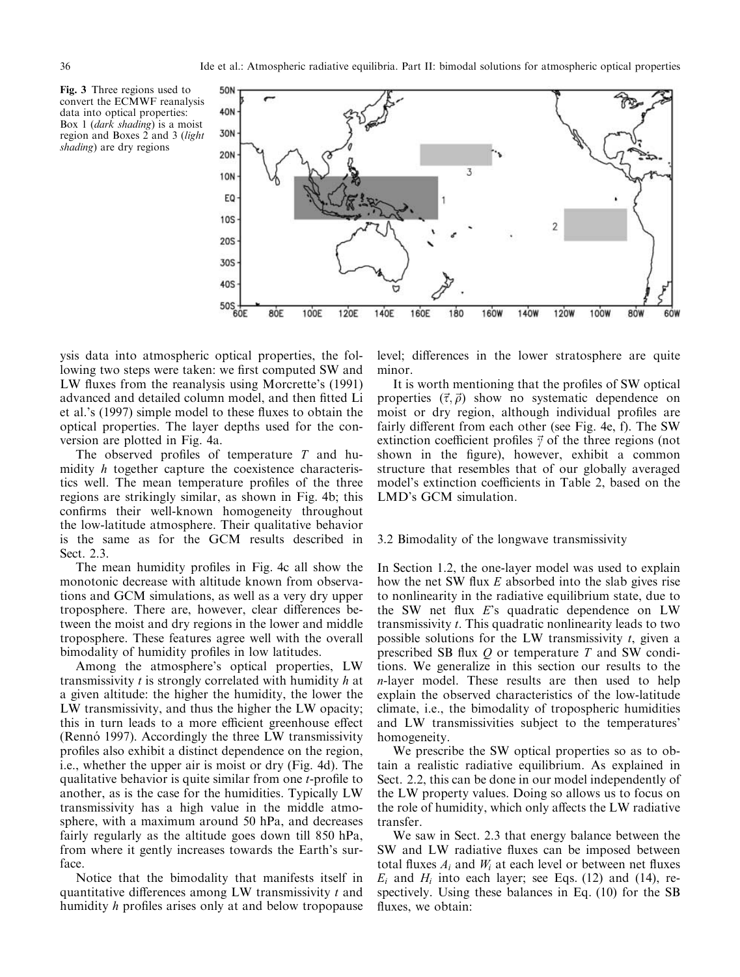Fig. 3 Three regions used to convert the ECMWF reanalysis data into optical properties: Box 1 (dark shading) is a moist region and Boxes 2 and 3 (light shading) are dry regions



ysis data into atmospheric optical properties, the following two steps were taken: we first computed SW and LW fluxes from the reanalysis using Morcrette's (1991) advanced and detailed column model, and then fitted Li et al.'s (1997) simple model to these fluxes to obtain the optical properties. The layer depths used for the conversion are plotted in Fig. 4a.

The observed profiles of temperature  $T$  and humidity h together capture the coexistence characteristics well. The mean temperature profiles of the three regions are strikingly similar, as shown in Fig. 4b; this confirms their well-known homogeneity throughout the low-latitude atmosphere. Their qualitative behavior is the same as for the GCM results described in Sect. 2.3.

The mean humidity profiles in Fig. 4c all show the monotonic decrease with altitude known from observations and GCM simulations, as well as a very dry upper troposphere. There are, however, clear differences between the moist and dry regions in the lower and middle troposphere. These features agree well with the overall bimodality of humidity profiles in low latitudes.

Among the atmosphere's optical properties, LW transmissivity  $t$  is strongly correlated with humidity  $h$  at a given altitude: the higher the humidity, the lower the LW transmissivity, and thus the higher the LW opacity; this in turn leads to a more efficient greenhouse effect (Rennó 1997). Accordingly the three LW transmissivity profiles also exhibit a distinct dependence on the region, i.e., whether the upper air is moist or dry (Fig. 4d). The qualitative behavior is quite similar from one *t*-profile to another, as is the case for the humidities. Typically LW transmissivity has a high value in the middle atmosphere, with a maximum around 50 hPa, and decreases fairly regularly as the altitude goes down till 850 hPa, from where it gently increases towards the Earth's surface.

Notice that the bimodality that manifests itself in quantitative differences among LW transmissivity  $t$  and humidity h profiles arises only at and below tropopause level; differences in the lower stratosphere are quite minor.

It is worth mentioning that the profiles of SW optical properties  $(\vec{\tau}, \vec{\rho})$  show no systematic dependence on moist or dry region, although individual profiles are fairly different from each other (see Fig. 4e, f). The SW extinction coefficient profiles  $\vec{\gamma}$  of the three regions (not shown in the figure), however, exhibit a common structure that resembles that of our globally averaged model's extinction coefficients in Table 2, based on the LMD's GCM simulation.

## 3.2 Bimodality of the longwave transmissivity

In Section 1.2, the one-layer model was used to explain how the net SW flux E absorbed into the slab gives rise to nonlinearity in the radiative equilibrium state, due to the SW net flux  $E$ 's quadratic dependence on LW transmissivity  $t$ . This quadratic nonlinearity leads to two possible solutions for the LW transmissivity  $t$ , given a prescribed SB flux  $Q$  or temperature  $T$  and SW conditions. We generalize in this section our results to the *n*-layer model. These results are then used to help explain the observed characteristics of the low-latitude climate, i.e., the bimodality of tropospheric humidities and LW transmissivities subject to the temperatures' homogeneity.

We prescribe the SW optical properties so as to obtain a realistic radiative equilibrium. As explained in Sect. 2.2, this can be done in our model independently of the LW property values. Doing so allows us to focus on the role of humidity, which only affects the LW radiative transfer.

We saw in Sect. 2.3 that energy balance between the SW and LW radiative fluxes can be imposed between total fluxes  $A_i$  and  $W_i$  at each level or between net fluxes  $E_i$  and  $H_i$  into each layer; see Eqs. (12) and (14), respectively. Using these balances in Eq. (10) for the SB fluxes, we obtain: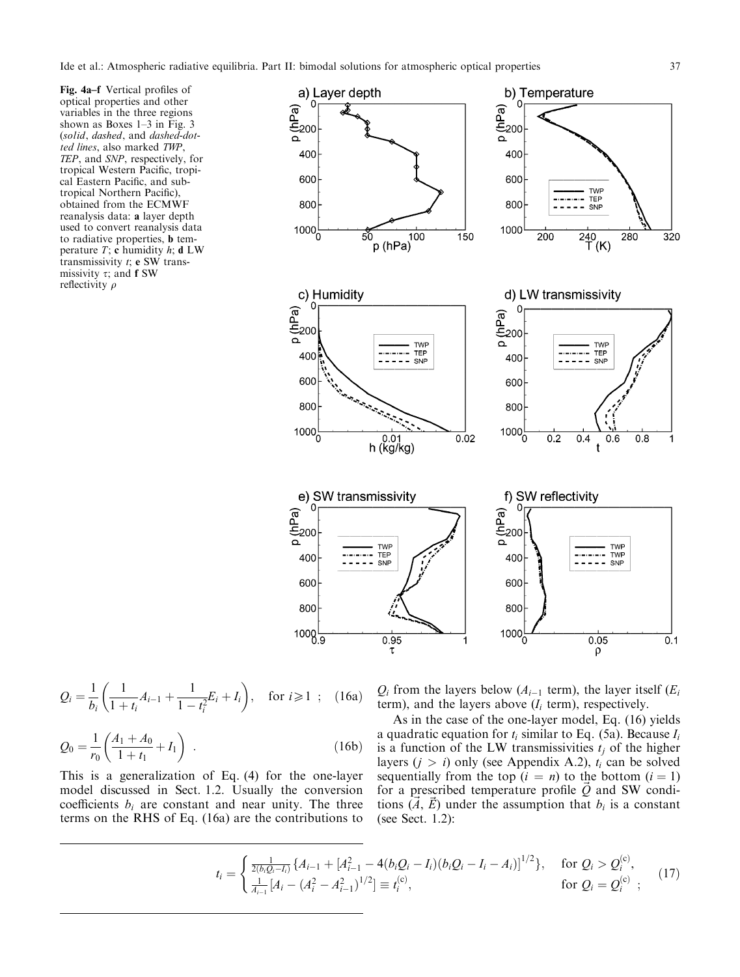Fig. 4a-f Vertical profiles of optical properties and other variables in the three regions shown as Boxes  $1-3$  in Fig. 3 (solid, dashed, and dashed-dotted lines, also marked TWP, TEP, and SNP, respectively, for tropical Western Pacific, tropical Eastern Pacific, and subtropical Northern Pacific), obtained from the ECMWF reanalysis data: a layer depth used to convert reanalysis data to radiative properties, **b** temperature  $T$ ; c humidity  $h$ ; d LW transmissivity  $t$ ; e SW transmissivity  $\tau$ ; and **f** SW reflectivity  $\rho$ 



$$
Q_i = \frac{1}{b_i} \left( \frac{1}{1+t_i} A_{i-1} + \frac{1}{1-t_i^2} E_i + I_i \right), \quad \text{for } i \geq 1 \ ; \quad (16a)
$$

$$
Q_0 = \frac{1}{r_0} \left( \frac{A_1 + A_0}{1 + t_1} + I_1 \right) \tag{16b}
$$

This is a generalization of Eq. (4) for the one-layer model discussed in Sect. 1.2. Usually the conversion coefficients  $b_i$  are constant and near unity. The three terms on the RHS of Eq. (16a) are the contributions to  $Q_i$  from the layers below ( $A_{i-1}$  term), the layer itself ( $E_i$ term), and the layers above  $(I_i \text{ term})$ , respectively.

As in the case of the one-layer model, Eq. (16) yields a quadratic equation for  $t_i$  similar to Eq. (5a). Because  $I_i$ is a function of the LW transmissivities  $t_i$  of the higher layers  $(j > i)$  only (see Appendix A.2),  $t_i$  can be solved sequentially from the top  $(i = n)$  to the bottom  $(i = 1)$ for a prescribed temperature profile  $\hat{Q}$  and SW conditions  $(\vec{A}, \vec{E})$  under the assumption that  $b_i$  is a constant (see Sect.  $1.2$ ):

$$
t_{i} = \begin{cases} \frac{1}{2(b_{i}Q_{i}-I_{i})} \{A_{i-1} + [A_{i-1}^{2} - 4(b_{i}Q_{i} - I_{i})(b_{i}Q_{i} - I_{i} - A_{i})]^{1/2}\}, & \text{for } Q_{i} > Q_{i}^{(c)},\\ \frac{1}{A_{i-1}} [A_{i} - (A_{i}^{2} - A_{i-1}^{2})^{1/2}] \equiv t_{i}^{(c)}, & \text{for } Q_{i} = Q_{i}^{(c)}; \end{cases}
$$
(17)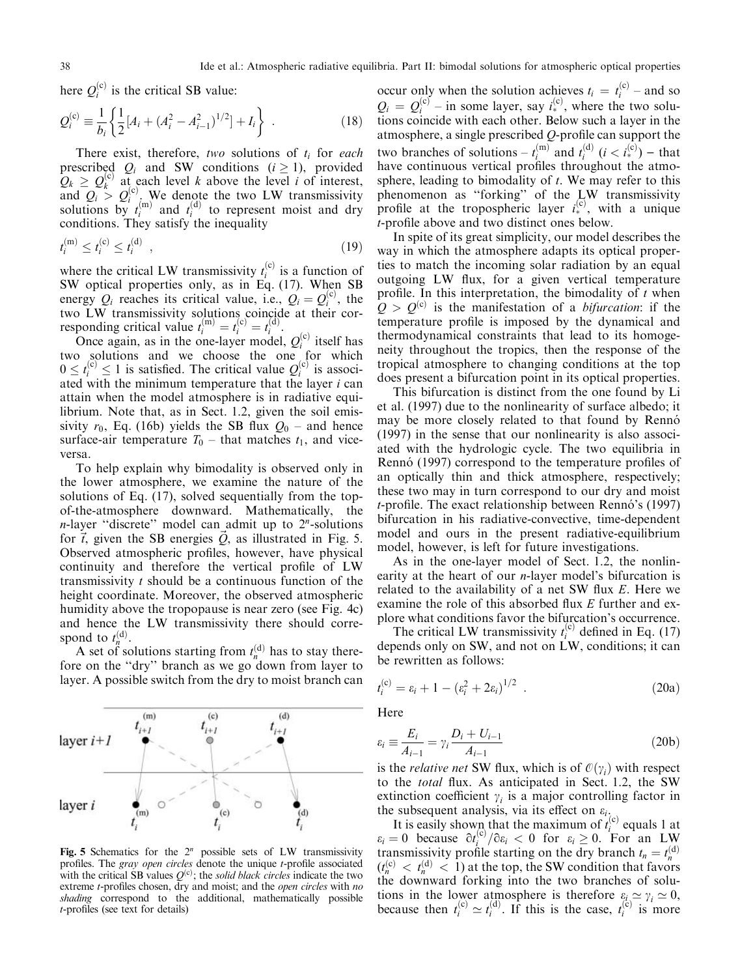here  $Q_i^{(c)}$  is the critical SB value:

$$
Q_i^{(c)} \equiv \frac{1}{b_i} \left\{ \frac{1}{2} [A_i + (A_i^2 - A_{i-1}^2)^{1/2}] + I_i \right\} \ . \tag{18}
$$

There exist, therefore, two solutions of  $t_i$  for each prescribed  $Q_i$  and SW conditions  $(i \ge 1)$ , provided  $Q_k \ge Q_k^{(c)}$  at each level k above the level i of interest,<br>and  $Q_i > Q_i^{(c)}$ . We denote the two LW transmissivity<br>solutions by  $t_i^{(m)}$  and  $t_i^{(d)}$  to represent moist and dry conditions. They satisfy the inequality

$$
t_i^{(m)} \le t_i^{(c)} \le t_i^{(d)} \t\t(19)
$$

where the critical LW transmissivity  $t_i^{(c)}$  is a function of SW optical properties only, as in Eq. (17). When SB energy  $Q_i$  reaches its critical value, i.e.,  $Q_i = Q_i^{(c)}$ , the two LW transmissivity solutions coincide at their corresponding critical value  $t_i^{(m)} = t_i^{(c)} = t_i^{(d)}$ .

Once again, as in the one-layer model,  $Q_i^{(c)}$  itself has<br>two solutions and we choose the one for which<br> $0 \le t_i^{(c)} \le 1$  is satisfied. The critical value  $Q_i^{(c)}$  is associated with the minimum temperature that the layer  $i$  can attain when the model atmosphere is in radiative equilibrium. Note that, as in Sect. 1.2, given the soil emissivity  $r_0$ , Eq. (16b) yields the SB flux  $Q_0$  – and hence surface-air temperature  $T_0$  – that matches  $t_1$ , and viceversa.

To help explain why bimodality is observed only in the lower atmosphere, we examine the nature of the solutions of Eq. (17), solved sequentially from the topof-the-atmosphere downward. Mathematically, the *n*-layer "discrete" model can admit up to  $2<sup>n</sup>$ -solutions for  $\vec{t}$ , given the SB energies  $\vec{Q}$ , as illustrated in Fig. 5. Observed atmospheric profiles, however, have physical continuity and therefore the vertical profile of LW transmissivity  $t$  should be a continuous function of the height coordinate. Moreover, the observed atmospheric humidity above the tropopause is near zero (see Fig. 4c) and hence the LW transmissivity there should correspond to  $t_{n}^{(d)}$ .

A set of solutions starting from  $t_n^{(d)}$  has to stay therefore on the "dry" branch as we go down from layer to layer. A possible switch from the dry to moist branch can



Fig. 5 Schematics for the  $2<sup>n</sup>$  possible sets of LW transmissivity profiles. The gray open circles denote the unique t-profile associated with the critical SB values  $Q^{(c)}$ ; the *solid black circles* indicate the two extreme t-profiles chosen, dry and moist; and the open circles with no shading correspond to the additional, mathematically possible  $t$ -profiles (see text for details)

occur only when the solution achieves  $t_i = t_i^{(c)}$  – and so  $Q_i = Q_i^{(c)}$  – in some layer, say  $i_*^{(c)}$ , where the two solutions coincide with each other. Below such a layer in the atmosphere, a single prescribed  $Q$ -profile can support the two branches of solutions –  $t_i^{(m)}$  and  $t_i^{(d)}$  ( $i < i_*^{(c)}$ ) – that have continuous vertical profiles throughout the atmosphere, leading to bimodality of  $t$ . We may refer to this phenomenon as "forking" of the LW transmissivity profile at the tropospheric layer  $i_*^{(c)}$ , with a unique *t*-profile above and two distinct ones below.

In spite of its great simplicity, our model describes the way in which the atmosphere adapts its optical properties to match the incoming solar radiation by an equal outgoing LW flux, for a given vertical temperature profile. In this interpretation, the bimodality of  $t$  when  $Q > Q^{(c)}$  is the manifestation of a *bifurcation*: if the temperature profile is imposed by the dynamical and thermodynamical constraints that lead to its homogeneity throughout the tropics, then the response of the tropical atmosphere to changing conditions at the top does present a bifurcation point in its optical properties.

This bifurcation is distinct from the one found by Li et al. (1997) due to the nonlinearity of surface albedo; it may be more closely related to that found by Rennó (1997) in the sense that our nonlinearity is also associated with the hydrologic cycle. The two equilibria in Rennó (1997) correspond to the temperature profiles of an optically thin and thick atmosphere, respectively; these two may in turn correspond to our dry and moist *t*-profile. The exact relationship between Rennó's  $(1997)$ bifurcation in his radiative-convective, time-dependent model and ours in the present radiative-equilibrium model, however, is left for future investigations.

As in the one-layer model of Sect. 1.2, the nonlinearity at the heart of our *n*-layer model's bifurcation is related to the availability of a net SW flux E. Here we examine the role of this absorbed flux E further and explore what conditions favor the bifurcation's occurrence.

The critical LW transmissivity  $t_i^{(c)}$  defined in Eq. (17) depends only on SW, and not on LW, conditions; it can be rewritten as follows:

$$
t_i^{(c)} = \varepsilon_i + 1 - (\varepsilon_i^2 + 2\varepsilon_i)^{1/2} . \tag{20a}
$$

Here

$$
\varepsilon_i \equiv \frac{E_i}{A_{i-1}} = \gamma_i \frac{D_i + U_{i-1}}{A_{i-1}} \tag{20b}
$$

is the *relative net* SW flux, which is of  $\mathcal{O}(\gamma_i)$  with respect to the *total* flux. As anticipated in Sect. 1.2, the SW extinction coefficient  $\gamma_i$  is a major controlling factor in

the subsequent analysis, via its effect on  $\varepsilon_i$ .<br>
It is easily shown that the maximum of  $t_i^{(c)}$  equals 1 at<br>  $\varepsilon_i = 0$  because  $\partial t_i^{(c)}/\partial \varepsilon_i < 0$  for  $\varepsilon_i \ge 0$ . For an LW<br>
transmissivity profile starting on the dr  $(t_n^{(c)} < t_n^{(d)} < 1)$  at the top, the SW condition that favors the downward forking into the two branches of solutions in the lower atmosphere is therefore  $\varepsilon_i \simeq \gamma_i \simeq 0$ ,<br>because then  $t_i^{(c)} \simeq t_i^{(d)}$ . If this is the case,  $t_i^{(c)}$  is more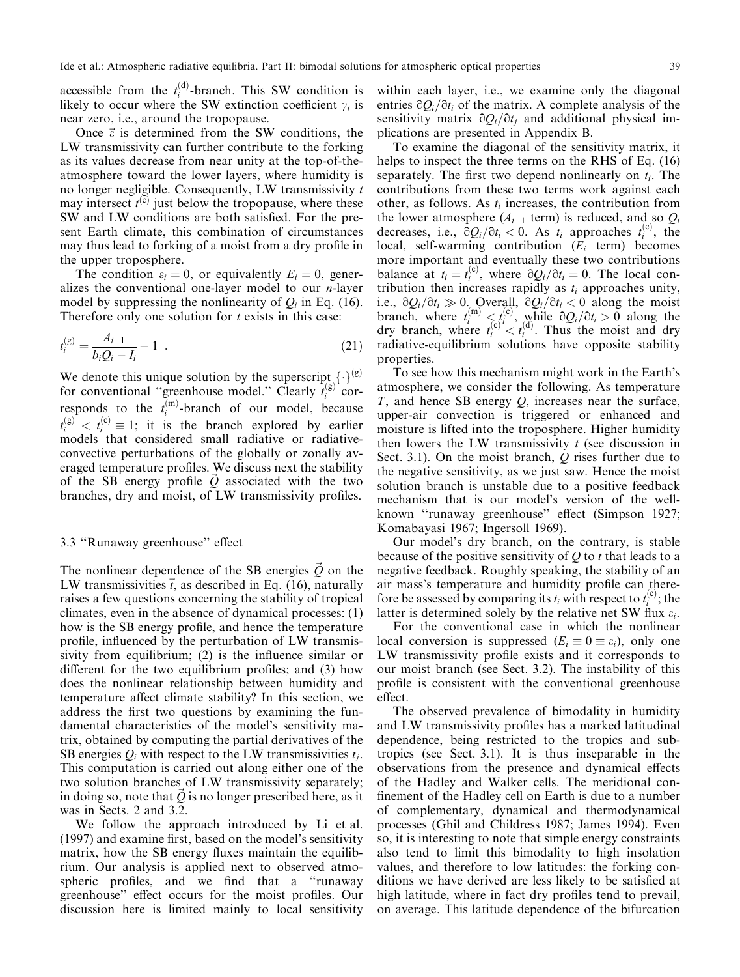accessible from the  $t_i^{(d)}$ -branch. This SW condition is likely to occur where the SW extinction coefficient  $\gamma_i$  is near zero, *i.e.*, around the tropopause.

Once  $\vec{\varepsilon}$  is determined from the SW conditions, the LW transmissivity can further contribute to the forking as its values decrease from near unity at the top-of-theatmosphere toward the lower layers, where humidity is no longer negligible. Consequently, LW transmissivity  $t$ may intersect  $t^{(c)}$  just below the tropopause, where these SW and LW conditions are both satisfied. For the present Earth climate, this combination of circumstances may thus lead to forking of a moist from a dry profile in the upper troposphere.

The condition  $\varepsilon_i = 0$ , or equivalently  $E_i = 0$ , generalizes the conventional one-layer model to our  $n$ -layer model by suppressing the nonlinearity of  $Q_i$  in Eq. (16). Therefore only one solution for  $t$  exists in this case:

$$
t_i^{(g)} = \frac{A_{i-1}}{b_i Q_i - I_i} - 1 \tag{21}
$$

We denote this unique solution by the superscript  $\{\cdot\}^{(g)}$ for conventional "greenhouse model." Clearly  $\bar{t}_i^{(g)}$  corresponds to the  $t_i^{(m)}$ -branch of our model, because  $t_i^{(g)} < t_i^{(c)} \equiv 1$ ; it is the branch explored by earlier models that considered small radiative or radiativeconvective perturbations of the globally or zonally averaged temperature profiles. We discuss next the stability of the SB energy profile  $\hat{Q}$  associated with the two branches, dry and moist, of LW transmissivity profiles.

# 3.3 "Runaway greenhouse" effect

The nonlinear dependence of the SB energies  $\hat{O}$  on the LW transmissivities  $\vec{t}$ , as described in Eq. (16), naturally raises a few questions concerning the stability of tropical climates, even in the absence of dynamical processes: (1) how is the SB energy profile, and hence the temperature profile, influenced by the perturbation of LW transmissivity from equilibrium; (2) is the influence similar or different for the two equilibrium profiles; and (3) how does the nonlinear relationship between humidity and temperature affect climate stability? In this section, we address the first two questions by examining the fundamental characteristics of the model's sensitivity matrix, obtained by computing the partial derivatives of the SB energies  $Q_i$  with respect to the LW transmissivities  $t_i$ . This computation is carried out along either one of the two solution branches of LW transmissivity separately; in doing so, note that  $Q$  is no longer prescribed here, as it was in Sects. 2 and 3.2.

We follow the approach introduced by Li et al. (1997) and examine first, based on the model's sensitivity matrix, how the SB energy fluxes maintain the equilibrium. Our analysis is applied next to observed atmospheric profiles, and we find that a "runaway greenhouse" effect occurs for the moist profiles. Our discussion here is limited mainly to local sensitivity

within each layer, *i.e.*, we examine only the diagonal entries  $\partial Q_i/\partial t_i$  of the matrix. A complete analysis of the sensitivity matrix  $\partial Q_i/\partial t_i$  and additional physical implications are presented in Appendix B.

To examine the diagonal of the sensitivity matrix, it helps to inspect the three terms on the RHS of Eq. (16) separately. The first two depend nonlinearly on  $t_i$ . The contributions from these two terms work against each other, as follows. As  $t_i$  increases, the contribution from the lower atmosphere  $(A_{i-1}$  term) is reduced, and so  $Q_i$ decreases, i.e.,  $\partial Q_i/\partial t_i < 0$ . As  $t_i$  approaches  $t_i^{(c)}$ , the local, self-warming contribution  $(E<sub>i</sub>$  term) becomes more important and eventually these two contributions balance at  $t_i = t_i^{(c)}$ , where  $\partial \dot{Q}_i / \partial t_i = 0$ . The local contribution then increases rapidly as  $t_i$  approaches unity, i.e.,  $\partial Q_i/\partial t_i \gg 0$ . Overall,  $\partial Q_i/\partial t_i < 0$  along the moist branch, where  $t_i^{(m)} < t_i^{(c)}$ , while  $\partial Q_i / \partial t_i > 0$  along the<br>dry branch, where  $t_i^{(c)} < t_i^{(d)}$ . Thus the moist and dry radiative-equilibrium solutions have opposite stability properties.

To see how this mechanism might work in the Earth's atmosphere, we consider the following. As temperature  $T$ , and hence SB energy  $Q$ , increases near the surface, upper-air convection is triggered or enhanced and moisture is lifted into the troposphere. Higher humidity then lowers the LW transmissivity  $t$  (see discussion in Sect. 3.1). On the moist branch,  $Q$  rises further due to the negative sensitivity, as we just saw. Hence the moist solution branch is unstable due to a positive feedback mechanism that is our model's version of the wellknown "runaway greenhouse" effect (Simpson 1927; Komabayasi 1967; Ingersoll 1969).

Our model's dry branch, on the contrary, is stable because of the positive sensitivity of  $Q$  to t that leads to a negative feedback. Roughly speaking, the stability of an air mass's temperature and humidity profile can therefore be assessed by comparing its  $t_i$  with respect to  $t_i^{(c)}$ ; the latter is determined solely by the relative net SW flux  $\varepsilon_i$ .

For the conventional case in which the nonlinear local conversion is suppressed  $(E_i \equiv 0 \equiv \varepsilon_i)$ , only one LW transmissivity profile exists and it corresponds to our moist branch (see Sect. 3.2). The instability of this profile is consistent with the conventional greenhouse effect.

The observed prevalence of bimodality in humidity and LW transmissivity profiles has a marked latitudinal dependence, being restricted to the tropics and subtropics (see Sect. 3.1). It is thus inseparable in the observations from the presence and dynamical effects of the Hadley and Walker cells. The meridional confinement of the Hadley cell on Earth is due to a number of complementary, dynamical and thermodynamical processes (Ghil and Childress 1987; James 1994). Even so, it is interesting to note that simple energy constraints also tend to limit this bimodality to high insolation values, and therefore to low latitudes: the forking conditions we have derived are less likely to be satisfied at high latitude, where in fact dry profiles tend to prevail, on average. This latitude dependence of the bifurcation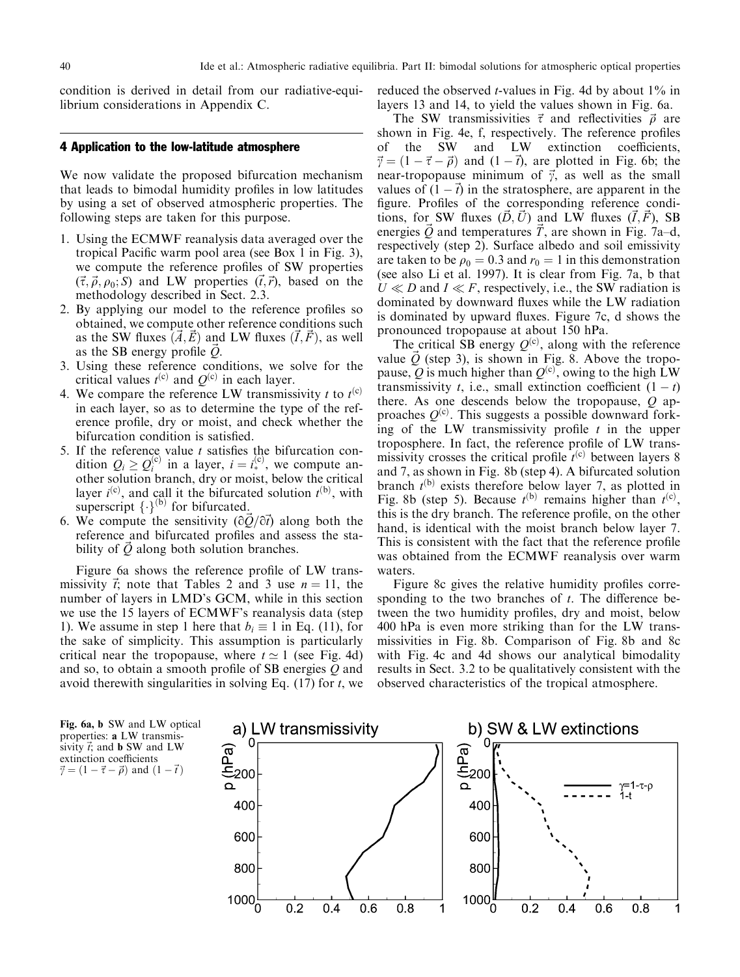condition is derived in detail from our radiative-equilibrium considerations in Appendix C.

# 4 Application to the low-latitude atmosphere

We now validate the proposed bifurcation mechanism that leads to bimodal humidity profiles in low latitudes by using a set of observed atmospheric properties. The following steps are taken for this purpose.

- 1. Using the ECMWF reanalysis data averaged over the tropical Pacific warm pool area (see Box 1 in Fig. 3), we compute the reference profiles of SW properties  $(\vec{\tau}, \vec{\rho}, \rho_0; S)$  and LW properties  $(\vec{t}, \vec{r})$ , based on the methodology described in Sect. 2.3.
- 2. By applying our model to the reference profiles so obtained, we compute other reference conditions such as the SW fluxes  $(\vec{A}, \vec{E})$  and LW fluxes  $(\vec{I}, \vec{F})$ , as well as the SB energy profile  $\vec{Q}$ .
- 3. Using these reference conditions, we solve for the critical values  $t^{(c)}$  and  $Q^{(c)}$  in each layer.
- 4. We compare the reference LW transmissivity t to  $t^{(c)}$ in each layer, so as to determine the type of the reference profile, dry or moist, and check whether the bifurcation condition is satisfied.
- 5. If the reference value *t* satisfies the bifurcation condition  $Q_i \ge Q_i^{(c)}$  in a layer,  $i = i_*^{(c)}$ , we compute another solution branch, dry or moist, below the critical layer  $i^{(c)}$ , and call it the bifurcated solution  $i^{(b)}$ , with superscript  $\{\cdot\}^{(b)}$  for bifurcated.
- 6. We compute the sensitivity  $(\partial \hat{Q}/\partial \vec{t})$  along both the reference and bifurcated profiles and assess the stability of  $\dot{Q}$  along both solution branches.

Figure 6a shows the reference profile of LW transmissivity  $\vec{t}$ ; note that Tables 2 and 3 use  $n = 11$ , the number of layers in LMD's GCM, while in this section we use the 15 layers of ECMWF's reanalysis data (step) 1). We assume in step 1 here that  $b_i \equiv 1$  in Eq. (11), for the sake of simplicity. This assumption is particularly critical near the tropopause, where  $t \approx 1$  (see Fig. 4d) and so, to obtain a smooth profile of SB energies  $Q$  and avoid therewith singularities in solving Eq.  $(17)$  for t, we

reduced the observed *t*-values in Fig. 4d by about  $1\%$  in layers 13 and 14, to yield the values shown in Fig. 6a.

The SW transmissivities  $\vec{\tau}$  and reflectivities  $\vec{\rho}$  are shown in Fig. 4e, f, respectively. The reference profiles the SW and LW extinction coefficients, οf  $\vec{y} = (1 - \vec{\tau} - \vec{\rho})$  and  $(1 - \vec{t})$ , are plotted in Fig. 6b; the near-tropopause minimum of  $\vec{y}$ , as well as the small values of  $(1 - \vec{t})$  in the stratosphere, are apparent in the figure. Profiles of the corresponding reference conditions, for SW fluxes  $(\vec{D}, \vec{U})$  and LW fluxes  $(\vec{I}, \vec{F})$ , SB energies  $\vec{Q}$  and temperatures  $\vec{T}$ , are shown in Fig. 7a–d, respectively (step 2). Surface albedo and soil emissivity are taken to be  $\rho_0 = 0.3$  and  $r_0 = 1$  in this demonstration (see also Li et al. 1997). It is clear from Fig. 7a, b that  $U \ll D$  and  $I \ll F$ , respectively, i.e., the SW radiation is dominated by downward fluxes while the LW radiation is dominated by upward fluxes. Figure 7c, d shows the pronounced tropopause at about 150 hPa.

The critical  $\hat{\mathbf{S}}\mathbf{B}$  energy  $Q^{(c)}$ , along with the reference value  $\vec{Q}$  (step 3), is shown in Fig. 8. Above the tropopause, Q is much higher than  $Q^{(c)}$ , owing to the high LW transmissivity t, i.e., small extinction coefficient  $(1 - t)$ there. As one descends below the tropopause,  $Q$  approaches  $Q^{(c)}$ . This suggests a possible downward forking of the LW transmissivity profile  $t$  in the upper troposphere. In fact, the reference profile of LW transmissivity crosses the critical profile  $t^{(c)}$  between layers 8 and 7, as shown in Fig. 8b (step 4). A bifurcated solution branch  $t^{(b)}$  exists therefore below layer 7, as plotted in Fig. 8b (step 5). Because  $t^{(b)}$  remains higher than  $t^{(c)}$ , this is the dry branch. The reference profile, on the other hand, is identical with the moist branch below layer 7. This is consistent with the fact that the reference profile was obtained from the ECMWF reanalysis over warm waters.

Figure 8c gives the relative humidity profiles corresponding to the two branches of  $t$ . The difference between the two humidity profiles, dry and moist, below 400 hPa is even more striking than for the LW transmissivities in Fig. 8b. Comparison of Fig. 8b and 8c with Fig. 4c and 4d shows our analytical bimodality results in Sect. 3.2 to be qualitatively consistent with the observed characteristics of the tropical atmosphere.

Fig. 6a, b SW and LW optical properties: a LW transmissivity  $\vec{t}$ ; and **b** SW and LW extinction coefficients  $\vec{\gamma} = (1 - \vec{\tau} - \vec{\rho})$  and  $(1 - \vec{t})$ 

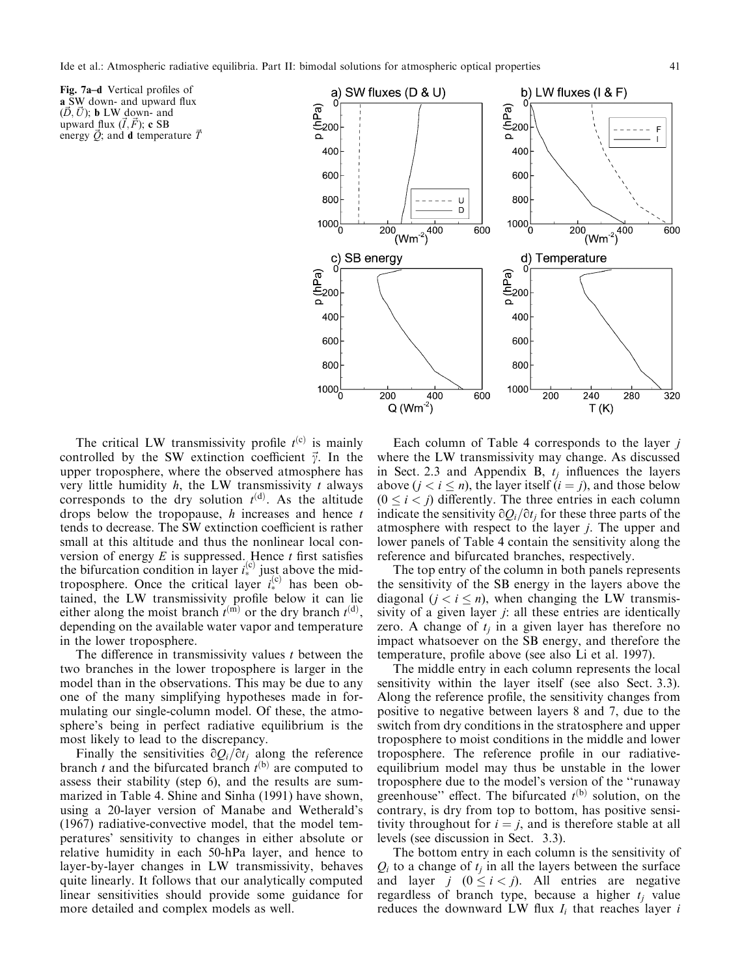Fig. 7a-d Vertical profiles of a SW down- and upward flux  $(\vec{D}, \vec{U})$ ; **b** LW down- and upward flux  $(\vec{I}, \vec{F})$ ; c SB energy  $\vec{Q}$ ; and **d** temperature  $\vec{T}$ 



The critical LW transmissivity profile  $t^{(c)}$  is mainly controlled by the SW extinction coefficient  $\vec{y}$ . In the upper troposphere, where the observed atmosphere has very little humidity  $h$ , the LW transmissivity  $t$  always corresponds to the dry solution  $t^{(d)}$ . As the altitude drops below the tropopause,  $h$  increases and hence  $t$ tends to decrease. The SW extinction coefficient is rather small at this altitude and thus the nonlinear local conversion of energy  $E$  is suppressed. Hence  $t$  first satisfies the bifurcation condition in layer  $i_{\ast}^{(c)}$  just above the midtroposphere. Once the critical layer  $i_{*}^{(c)}$  has been obtained, the LW transmissivity profile below it can lie either along the moist branch  $t^{(m)}$  or the dry branch  $t^{(d)}$ , depending on the available water vapor and temperature in the lower troposphere.

The difference in transmissivity values  $t$  between the two branches in the lower troposphere is larger in the model than in the observations. This may be due to any one of the many simplifying hypotheses made in formulating our single-column model. Of these, the atmosphere's being in perfect radiative equilibrium is the most likely to lead to the discrepancy.

Finally the sensitivities  $\partial Q_i/\partial t_i$  along the reference branch t and the bifurcated branch  $t^{(b)}$  are computed to assess their stability (step 6), and the results are summarized in Table 4. Shine and Sinha (1991) have shown, using a 20-layer version of Manabe and Wetherald's (1967) radiative-convective model, that the model temperatures' sensitivity to changes in either absolute or relative humidity in each 50-hPa layer, and hence to laver-by-laver changes in LW transmissivity, behaves quite linearly. It follows that our analytically computed linear sensitivities should provide some guidance for more detailed and complex models as well.

Each column of Table 4 corresponds to the layer *i* where the LW transmissivity may change. As discussed in Sect. 2.3 and Appendix B,  $t_i$  influences the layers above  $(j < i \le n)$ , the layer itself  $(i = j)$ , and those below  $(0 \le i < j)$  differently. The three entries in each column indicate the sensitivity  $\partial Q_i/\partial t_i$  for these three parts of the atmosphere with respect to the layer  $j$ . The upper and lower panels of Table 4 contain the sensitivity along the reference and bifurcated branches, respectively.

The top entry of the column in both panels represents the sensitivity of the SB energy in the layers above the diagonal  $(j < i \leq n)$ , when changing the LW transmissivity of a given layer  $j$ : all these entries are identically zero. A change of  $t_i$  in a given layer has therefore no impact whatsoever on the SB energy, and therefore the temperature, profile above (see also Li et al. 1997).

The middle entry in each column represents the local sensitivity within the layer itself (see also Sect. 3.3). Along the reference profile, the sensitivity changes from positive to negative between layers 8 and 7, due to the switch from dry conditions in the stratosphere and upper troposphere to moist conditions in the middle and lower troposphere. The reference profile in our radiativeequilibrium model may thus be unstable in the lower troposphere due to the model's version of the "runaway greenhouse" effect. The bifurcated  $t^{(b)}$  solution, on the contrary, is dry from top to bottom, has positive sensitivity throughout for  $i = j$ , and is therefore stable at all levels (see discussion in Sect. 3.3).

The bottom entry in each column is the sensitivity of  $Q_i$  to a change of  $t_i$  in all the layers between the surface and layer  $j$   $(0 \le i < j)$ . All entries are negative regardless of branch type, because a higher  $t_i$  value reduces the downward LW flux  $I_i$  that reaches layer i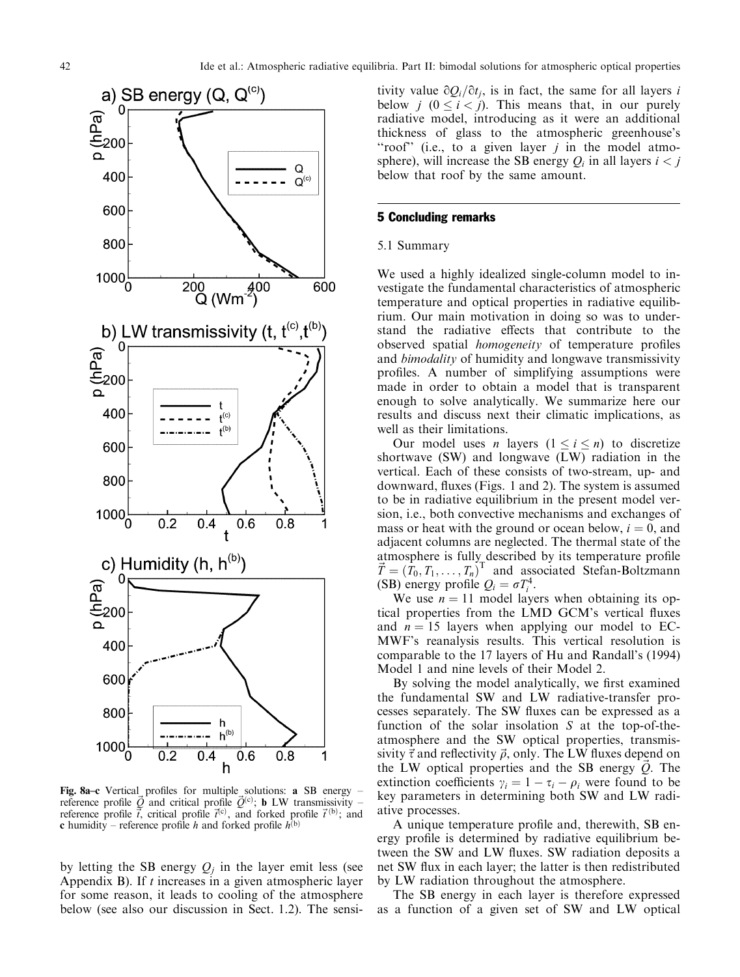

Fig. 8a-c Vertical profiles for multiple solutions: a SB energy reference profile  $\vec{Q}$  and critical profile  $\vec{Q}^{(c)}$ ; **b** LW transmissivity –<br>reference profile  $\vec{t}$ , critical profile  $\vec{t}^{(c)}$ , and forked profile  $\vec{t}^{(b)}$ ; and **c** humidity – reference profile h and forked profile  $h^{(b)}$ 

by letting the SB energy  $Q_i$  in the layer emit less (see Appendix B). If  $t$  increases in a given atmospheric layer for some reason, it leads to cooling of the atmosphere below (see also our discussion in Sect. 1.2). The sensitivity value  $\partial Q_i/\partial t_j$ , is in fact, the same for all layers i below  $j$   $(0 \le i < j)$ . This means that, in our purely radiative model, introducing as it were an additional thickness of glass to the atmospheric greenhouse's "roof" (i.e., to a given layer  $j$  in the model atmosphere), will increase the SB energy  $Q_i$  in all layers  $i < j$ below that roof by the same amount.

## **5 Concluding remarks**

## 5.1 Summary

We used a highly idealized single-column model to investigate the fundamental characteristics of atmospheric temperature and optical properties in radiative equilibrium. Our main motivation in doing so was to understand the radiative effects that contribute to the observed spatial *homogeneity* of temperature profiles and *bimodality* of humidity and longwave transmissivity profiles. A number of simplifying assumptions were made in order to obtain a model that is transparent enough to solve analytically. We summarize here our results and discuss next their climatic implications, as well as their limitations.

Our model uses *n* layers  $(1 \le i \le n)$  to discretize shortwave (SW) and longwave (LW) radiation in the vertical. Each of these consists of two-stream, up- and downward, fluxes (Figs. 1 and 2). The system is assumed to be in radiative equilibrium in the present model version, *i.e.*, both convective mechanisms and exchanges of mass or heat with the ground or ocean below,  $i = 0$ , and adjacent columns are neglected. The thermal state of the atmosphere is fully described by its temperature profile  $\vec{T} = (\vec{T}_0, T_1, \dots, T_n)^T$  and associated Stefan-Boltzmann (SB) energy profile  $Q_i = \sigma T_i^4$ .

We use  $n = 11$  model layers when obtaining its optical properties from the LMD GCM's vertical fluxes and  $n = 15$  layers when applying our model to EC-MWF's reanalysis results. This vertical resolution is comparable to the 17 layers of Hu and Randall's (1994) Model 1 and nine levels of their Model 2.

By solving the model analytically, we first examined the fundamental SW and LW radiative-transfer processes separately. The SW fluxes can be expressed as a function of the solar insolation S at the top-of-theatmosphere and the SW optical properties, transmissivity  $\vec{\tau}$  and reflectivity  $\vec{\rho}$ , only. The LW fluxes depend on the LW optical properties and the SB energy  $Q$ . The extinction coefficients  $\gamma_i = 1 - \tau_i - \rho_i$  were found to be key parameters in determining both SW and LW radiative processes.

A unique temperature profile and, therewith, SB energy profile is determined by radiative equilibrium between the SW and LW fluxes. SW radiation deposits a net SW flux in each layer; the latter is then redistributed by LW radiation throughout the atmosphere.

The SB energy in each layer is therefore expressed as a function of a given set of SW and LW optical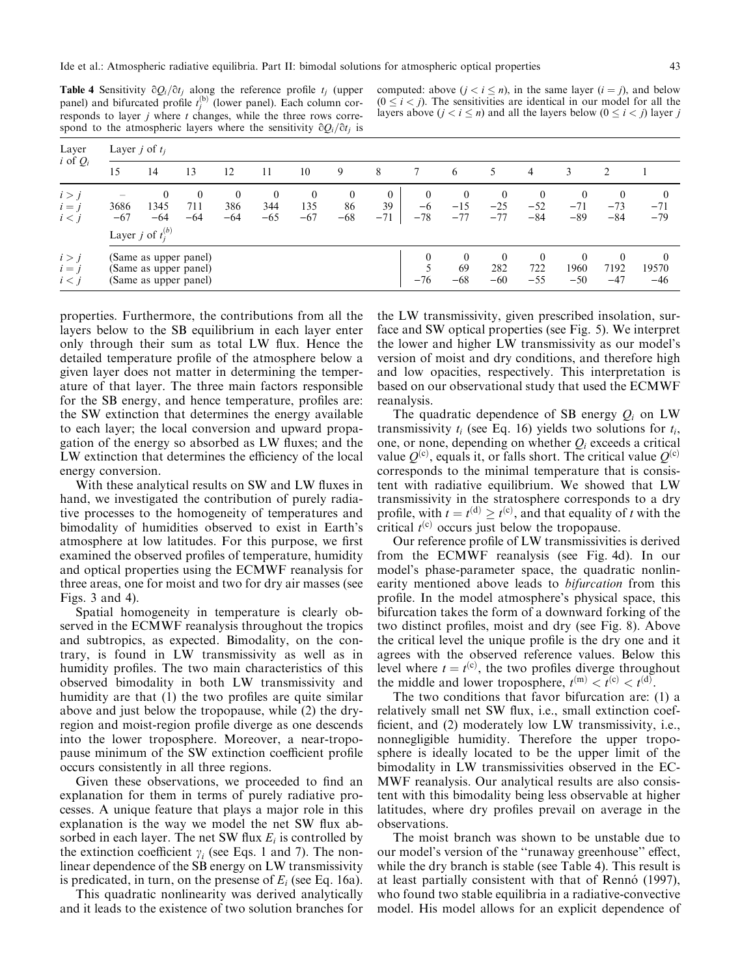**Table 4** Sensitivity  $\partial Q_i/\partial t_i$  along the reference profile  $t_i$  (upper panel) and bifurcated profile  $t_i^{(b)}$  (lower panel). Each column corresponds to layer  $j$  where  $t$  changes, while the three rows correspond to the atmospheric layers where the sensitivity  $\partial Q_i/\partial t_i$  is

computed: above  $(j < i \le n)$ , in the same layer  $(i = j)$ , and below  $(0 \le i \le j)$ . The sensitivities are identical in our model for all the layers above  $(j < i \le n)$  and all the layers below  $(0 \le i < j)$  layer j

| Layer<br>i of $Q_i$       | Layer <i>j</i> of $t_i$                                                 |                                                |                              |                              |                              |                          |                         |                               |                               |                                  |                                |                            |                            |                            |                            |
|---------------------------|-------------------------------------------------------------------------|------------------------------------------------|------------------------------|------------------------------|------------------------------|--------------------------|-------------------------|-------------------------------|-------------------------------|----------------------------------|--------------------------------|----------------------------|----------------------------|----------------------------|----------------------------|
|                           | 15                                                                      | 14                                             | 13                           | 12                           | 11                           | 10                       | 9                       | 8                             |                               | 6                                |                                | $\overline{4}$             |                            | 2                          |                            |
| i > j<br>$i = i$<br>i < j | 3686<br>$-67$                                                           | 1345<br>$-64$<br>Layer <i>j</i> of $t_i^{(b)}$ | $\mathbf{0}$<br>711<br>$-64$ | $\mathbf{0}$<br>386<br>$-64$ | $\mathbf{0}$<br>344<br>$-65$ | $\theta$<br>135<br>$-67$ | $\theta$<br>86<br>$-68$ | $\overline{0}$<br>39<br>$-71$ | $\mathbf{0}$<br>$-6$<br>$-78$ | $\overline{0}$<br>$-15$<br>$-77$ | $\mathbf{0}$<br>$-25$<br>$-77$ | $\theta$<br>$-52$<br>$-84$ | $\Omega$<br>$-71$<br>$-89$ | $\theta$<br>$-73$<br>$-84$ | $\theta$<br>$-71$<br>$-79$ |
| i > j<br>$i = j$<br>i < j | (Same as upper panel)<br>(Same as upper panel)<br>(Same as upper panel) |                                                |                              |                              |                              |                          |                         |                               | $-76$                         | $\boldsymbol{0}$<br>69<br>$-68$  | 282<br>$-60$                   | 722<br>$-55$               | 1960<br>$-50$              | $\Omega$<br>7192<br>$-47$  | $\theta$<br>19570<br>$-46$ |

properties. Furthermore, the contributions from all the layers below to the SB equilibrium in each layer enter only through their sum as total LW flux. Hence the detailed temperature profile of the atmosphere below a given layer does not matter in determining the temperature of that layer. The three main factors responsible for the SB energy, and hence temperature, profiles are: the SW extinction that determines the energy available to each layer; the local conversion and upward propagation of the energy so absorbed as LW fluxes; and the LW extinction that determines the efficiency of the local energy conversion.

With these analytical results on SW and LW fluxes in hand, we investigated the contribution of purely radiative processes to the homogeneity of temperatures and bimodality of humidities observed to exist in Earth's atmosphere at low latitudes. For this purpose, we first examined the observed profiles of temperature, humidity and optical properties using the ECMWF reanalysis for three areas, one for moist and two for dry air masses (see Figs.  $3$  and  $4$ ).

Spatial homogeneity in temperature is clearly observed in the ECMWF reanalysis throughout the tropics and subtropics, as expected. Bimodality, on the contrary, is found in LW transmissivity as well as in humidity profiles. The two main characteristics of this observed bimodality in both LW transmissivity and humidity are that (1) the two profiles are quite similar above and just below the tropopause, while (2) the dryregion and moist-region profile diverge as one descends into the lower troposphere. Moreover, a near-tropopause minimum of the SW extinction coefficient profile occurs consistently in all three regions.

Given these observations, we proceeded to find an explanation for them in terms of purely radiative processes. A unique feature that plays a major role in this explanation is the way we model the net SW flux absorbed in each layer. The net SW flux  $E_i$  is controlled by the extinction coefficient  $\gamma_i$  (see Eqs. 1 and 7). The nonlinear dependence of the SB energy on LW transmissivity is predicated, in turn, on the presense of  $E_i$  (see Eq. 16a).

This quadratic nonlinearity was derived analytically and it leads to the existence of two solution branches for

the LW transmissivity, given prescribed insolation, surface and SW optical properties (see Fig. 5). We interpret the lower and higher LW transmissivity as our model's version of moist and dry conditions, and therefore high and low opacities, respectively. This interpretation is based on our observational study that used the ECMWF reanalysis.

The quadratic dependence of SB energy  $Q_i$  on LW transmissivity  $t_i$  (see Eq. 16) yields two solutions for  $t_i$ , one, or none, depending on whether  $Q_i$  exceeds a critical value  $Q^{(c)}$ , equals it, or falls short. The critical value  $Q^{(c)}$ corresponds to the minimal temperature that is consistent with radiative equilibrium. We showed that LW transmissivity in the stratosphere corresponds to a dry profile, with  $t = t^{(d)} \ge t^{(c)}$ , and that equality of t with the critical  $t^{(c)}$  occurs just below the tropopause.

Our reference profile of LW transmissivities is derived from the ECMWF reanalysis (see Fig. 4d). In our model's phase-parameter space, the quadratic nonlinearity mentioned above leads to *bifurcation* from this profile. In the model atmosphere's physical space, this bifurcation takes the form of a downward forking of the two distinct profiles, moist and dry (see Fig. 8). Above the critical level the unique profile is the dry one and it agrees with the observed reference values. Below this level where  $t = t^{(c)}$ , the two profiles diverge throughout the middle and lower troposphere,  $t^{(m)} < t^{(c)} < t^{(d)}$ .

The two conditions that favor bifurcation are: (1) a relatively small net SW flux, i.e., small extinction coefficient, and (2) moderately low LW transmissivity, i.e., nonnegligible humidity. Therefore the upper troposphere is ideally located to be the upper limit of the bimodality in LW transmissivities observed in the EC-MWF reanalysis. Our analytical results are also consistent with this bimodality being less observable at higher latitudes, where dry profiles prevail on average in the observations.

The moist branch was shown to be unstable due to our model's version of the "runaway greenhouse" effect, while the dry branch is stable (see Table 4). This result is at least partially consistent with that of Rennó (1997), who found two stable equilibria in a radiative-convective model. His model allows for an explicit dependence of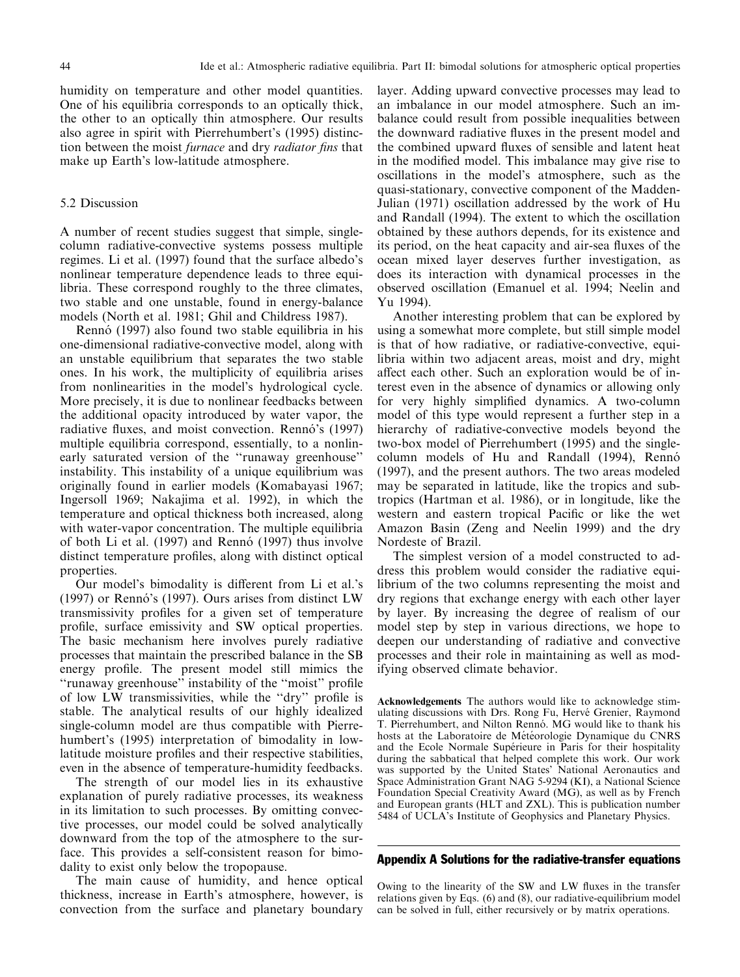humidity on temperature and other model quantities. One of his equilibria corresponds to an optically thick, the other to an optically thin atmosphere. Our results also agree in spirit with Pierrehumbert's (1995) distinction between the moist *furnace* and dry *radiator fins* that make up Earth's low-latitude atmosphere.

## 5.2 Discussion

A number of recent studies suggest that simple, singlecolumn radiative-convective systems possess multiple regimes. Li et al. (1997) found that the surface albedo's nonlinear temperature dependence leads to three equilibria. These correspond roughly to the three climates, two stable and one unstable, found in energy-balance models (North et al. 1981; Ghil and Childress 1987).

Rennó (1997) also found two stable equilibria in his one-dimensional radiative-convective model, along with an unstable equilibrium that separates the two stable ones. In his work, the multiplicity of equilibria arises from nonlinearities in the model's hydrological cycle. More precisely, it is due to nonlinear feedbacks between the additional opacity introduced by water vapor, the radiative fluxes, and moist convection. Rennó's (1997) multiple equilibria correspond, essentially, to a nonlinearly saturated version of the "runaway greenhouse" instability. This instability of a unique equilibrium was originally found in earlier models (Komabayasi 1967; Ingersoll 1969; Nakajima et al. 1992), in which the temperature and optical thickness both increased, along with water-vapor concentration. The multiple equilibria of both Li et al. (1997) and Rennó (1997) thus involve distinct temperature profiles, along with distinct optical properties.

Our model's bimodality is different from Li et al.'s  $(1997)$  or Rennó's  $(1997)$ . Ours arises from distinct LW transmissivity profiles for a given set of temperature profile, surface emissivity and SW optical properties. The basic mechanism here involves purely radiative processes that maintain the prescribed balance in the SB energy profile. The present model still mimics the "runaway greenhouse" instability of the "moist" profile of low LW transmissivities, while the "dry" profile is stable. The analytical results of our highly idealized single-column model are thus compatible with Pierrehumbert's (1995) interpretation of bimodality in lowlatitude moisture profiles and their respective stabilities, even in the absence of temperature-humidity feedbacks.

The strength of our model lies in its exhaustive explanation of purely radiative processes, its weakness in its limitation to such processes. By omitting convective processes, our model could be solved analytically downward from the top of the atmosphere to the surface. This provides a self-consistent reason for bimodality to exist only below the tropopause.

The main cause of humidity, and hence optical thickness, increase in Earth's atmosphere, however, is convection from the surface and planetary boundary layer. Adding upward convective processes may lead to an imbalance in our model atmosphere. Such an imbalance could result from possible inequalities between the downward radiative fluxes in the present model and the combined upward fluxes of sensible and latent heat in the modified model. This imbalance may give rise to oscillations in the model's atmosphere, such as the quasi-stationary, convective component of the Madden-Julian (1971) oscillation addressed by the work of Hu and Randall (1994). The extent to which the oscillation obtained by these authors depends, for its existence and its period, on the heat capacity and air-sea fluxes of the ocean mixed layer deserves further investigation, as does its interaction with dynamical processes in the observed oscillation (Emanuel et al. 1994; Neelin and Yu 1994).

Another interesting problem that can be explored by using a somewhat more complete, but still simple model is that of how radiative, or radiative-convective, equilibria within two adjacent areas, moist and dry, might affect each other. Such an exploration would be of interest even in the absence of dynamics or allowing only for very highly simplified dynamics. A two-column model of this type would represent a further step in a hierarchy of radiative-convective models beyond the two-box model of Pierrehumbert (1995) and the singlecolumn models of Hu and Randall (1994), Rennó (1997), and the present authors. The two areas modeled may be separated in latitude, like the tropics and subtropics (Hartman et al. 1986), or in longitude, like the western and eastern tropical Pacific or like the wet Amazon Basin (Zeng and Neelin 1999) and the dry Nordeste of Brazil.

The simplest version of a model constructed to address this problem would consider the radiative equilibrium of the two columns representing the moist and dry regions that exchange energy with each other layer by layer. By increasing the degree of realism of our model step by step in various directions, we hope to deepen our understanding of radiative and convective processes and their role in maintaining as well as modifying observed climate behavior.

Acknowledgements The authors would like to acknowledge stimulating discussions with Drs. Rong Fu, Hervé Grenier, Raymond T. Pierrehumbert, and Nilton Rennó. MG would like to thank his hosts at the Laboratoire de Météorologie Dynamique du CNRS and the Ecole Normale Supérieure in Paris for their hospitality during the sabbatical that helped complete this work. Our work was supported by the United States' National Aeronautics and Space Administration Grant NAG 5-9294 (KI), a National Science Foundation Special Creativity Award (MG), as well as by French and European grants (HLT and ZXL). This is publication number 5484 of UCLA's Institute of Geophysics and Planetary Physics.

## **Appendix A Solutions for the radiative-transfer equations**

Owing to the linearity of the SW and LW fluxes in the transfer relations given by Eqs.  $(6)$  and  $(8)$ , our radiative-equilibrium model can be solved in full, either recursively or by matrix operations.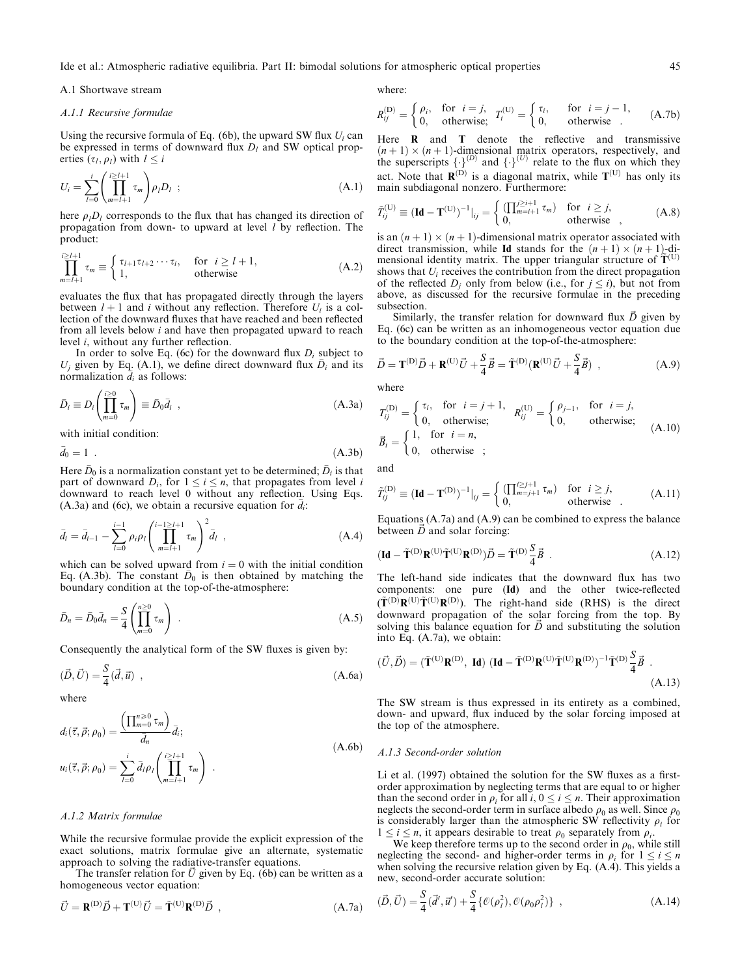A.1 Shortwave stream

#### A.1.1 Recursive formulae

Using the recursive formula of Eq. (6b), the upward SW flux  $U_i$  can be expressed in terms of downward flux  $D_l$  and SW optical properties  $(\tau_l, \rho_l)$  with  $l \leq i$ 

$$
U_{i} = \sum_{l=0}^{i} \left( \prod_{m=l+1}^{i \ge l+1} \tau_{m} \right) \rho_{l} D_{l} ; \qquad (A.1)
$$

here  $\rho_1 D_1$  corresponds to the flux that has changed its direction of propagation from down- to upward at level  $l$  by reflection. The product:

$$
\prod_{m=l+1}^{i\ge l+1} \tau_m \equiv \begin{cases} \tau_{l+1}\tau_{l+2}\cdots\tau_i, & \text{for } i \ge l+1, \\ 1, & \text{otherwise} \end{cases}
$$
 (A.2)

evaluates the flux that has propagated directly through the layers between  $l + 1$  and i without any reflection. Therefore  $U_i$  is a collection of the downward fluxes that have reached and been reflected from all levels below *i* and have then propagated upward to reach level  $i$ , without any further reflection.

In order to solve Eq. (6c) for the downward flux  $D_i$  subject to  $U_i$  given by Eq. (A.1), we define direct downward flux  $\bar{D}_i$  and its normalization  $d_i$  as follows:

$$
\bar{D}_i \equiv D_i \left( \prod_{m=0}^{i \ge 0} \tau_m \right) \equiv \bar{D}_0 \bar{d}_i , \qquad (A.3a)
$$

with initial condition:

$$
\bar{d}_0 = 1 \tag{A.3b}
$$

Here  $\bar{D}_0$  is a normalization constant yet to be determined;  $\bar{D}_i$  is that part of downward  $D_i$ , for  $1 \le i \le n$ , that propagates from level i downward to reach level 0 without any reflection. Using Eqs. (A.3a) and (6c), we obtain a recursive equation for  $\bar{d}_i$ :

$$
\bar{d}_i = \bar{d}_{i-1} - \sum_{l=0}^{i-1} \rho_i \rho_l \left( \prod_{m=l+1}^{i-1} \tau_m \right)^2 \bar{d}_l , \qquad (A.4)
$$

which can be solved upward from  $i = 0$  with the initial condition Eq. (A.3b). The constant  $\bar{D}_0$  is then obtained by matching the boundary condition at the top-of-the-atmosphere:

$$
\bar{D}_n = \bar{D}_0 \bar{d}_n = \frac{S}{4} \left( \prod_{m=0}^{n \ge 0} \tau_m \right) \tag{A.5}
$$

Consequently the analytical form of the SW fluxes is given by:

$$
(\vec{D}, \vec{U}) = \frac{S}{4}(\vec{d}, \vec{u}) \tag{A.6a}
$$

where

$$
d_i(\vec{\tau}, \vec{\rho}; \rho_0) = \frac{\left(\prod_{m=0}^{n\geq 0} \tau_m\right)}{\bar{d}_n} \bar{d}_i;
$$
  

$$
u_i(\vec{\tau}, \vec{\rho}; \rho_0) = \sum_{l=0}^i \bar{d}_l \rho_l \left(\prod_{m=l+1}^{i\geq l+1} \tau_m\right).
$$
 (A.6b)

## A.1.2 Matrix formulae

While the recursive formulae provide the explicit expression of the exact solutions, matrix formulae give an alternate, systematic approach to solving the radiative-transfer equations.

The transfer relation for  $\vec{U}$  given by Eq. (6b) can be written as a homogeneous vector equation:

$$
\vec{U} = \mathbf{R}^{(\mathrm{D})}\vec{D} + \mathbf{T}^{(\mathrm{U})}\vec{U} = \tilde{\mathbf{T}}^{(\mathrm{U})}\mathbf{R}^{(\mathrm{D})}\vec{D} \tag{A.7a}
$$

where:

$$
R_{ij}^{(D)} = \begin{cases} \rho_i, & \text{for } i = j, \\ 0, & \text{otherwise} \end{cases}, \quad T_i^{(U)} = \begin{cases} \tau_i, & \text{for } i = j - 1, \\ 0, & \text{otherwise} \end{cases} \tag{A.7b}
$$

Here **R** and **T** denote the reflective and transmissive  $(n+1) \times (n+1)$ -dimensional matrix operators, respectively, and<br>the superscripts  $\{\cdot\}^{(D)}$  and  $\{\cdot\}^{(U)}$  relate to the flux on which they<br>act. Note that  $\mathbf{R}^{(D)}$  is a diagonal matrix, while  $\mathbf{T}^{(U)}$  has only its main subdiagonal nonzero. Furthermore:

$$
\tilde{T}_{ij}^{(\text{U})} \equiv (\text{Id} - \mathbf{T}^{(\text{U})})^{-1}|_{ij} = \begin{cases} \left(\prod_{m=i+1}^{j \ge i+1} \tau_m\right) & \text{for } i \ge j, \\ 0, & \text{otherwise} \end{cases}
$$
\n(A.8)

is an  $(n + 1) \times (n + 1)$ -dimensional matrix operator associated with direct transmission, while **Id** stands for the  $(n + 1) \times (n + 1)$ -dimensional identity matrix. The upper triangular structure of  $\tilde{T}^{(U)}$ shows that  $U_i$  receives the contribution from the direct propagation of the reflected  $D_i$  only from below (i.e., for  $i \le i$ ), but not from above, as discussed for the recursive formulae in the preceding subsection.

Similarly, the transfer relation for downward flux  $\vec{D}$  given by Eq. (6c) can be written as an inhomogeneous vector equation due to the boundary condition at the top-of-the-atmosphere:

$$
\vec{D} = \mathbf{T}^{(D)}\vec{D} + \mathbf{R}^{(U)}\vec{U} + \frac{S}{4}\vec{B} = \tilde{\mathbf{T}}^{(D)}(\mathbf{R}^{(U)}\vec{U} + \frac{S}{4}\vec{B}) , \qquad (A.9)
$$

where

$$
T_{ij}^{(D)} = \begin{cases} \tau_i, & \text{for } i = j + 1, \\ 0, & \text{otherwise}; \end{cases} \quad R_{ij}^{(U)} = \begin{cases} \rho_{j-1}, & \text{for } i = j, \\ 0, & \text{otherwise}; \end{cases}
$$
  

$$
\vec{B}_i = \begin{cases} 1, & \text{for } i = n, \\ 0, & \text{otherwise}; \end{cases}
$$
 (A.10)

and

$$
\tilde{T}_{ij}^{(\mathbf{D})} \equiv (\mathbf{Id} - \mathbf{T}^{(\mathbf{D})})^{-1}|_{ij} = \begin{cases} \left(\prod_{m=j+1}^{i \ge j+1} \tau_m\right) & \text{for } i \ge j, \\ 0, & \text{otherwise} \end{cases}
$$
 (A.11)

Equations  $(A.7a)$  and  $(A.9)$  can be combined to express the balance between  $\vec{D}$  and solar forcing:

$$
(\mathbf{Id} - \tilde{\mathbf{T}}^{(\mathrm{D})}\mathbf{R}^{(\mathrm{U})}\tilde{\mathbf{T}}^{(\mathrm{U})}\mathbf{R}^{(\mathrm{D})})\vec{D} = \tilde{\mathbf{T}}^{(\mathrm{D})}\frac{S}{4}\vec{B} .
$$
 (A.12)

The left-hand side indicates that the downward flux has two components: one pure (Id) and the other twice-reflected  $(\tilde{T}^{(D)}\mathbf{R}^{(U)}\tilde{T}^{(U)}\mathbf{R}^{(D)})$ . The right-hand side (RHS) is the direct downward propagation of the solar forcing from the top. By solving this balance equation for  $\vec{D}$  and substituting the solution into Eq. (A.7a), we obtain:

$$
(\vec{U}, \vec{D}) = (\tilde{\mathbf{T}}^{(\text{U})}\mathbf{R}^{(\text{D})}, \ \mathbf{Id}) \ (\mathbf{Id} - \tilde{\mathbf{T}}^{(\text{D})}\mathbf{R}^{(\text{U})}\tilde{\mathbf{T}}^{(\text{U})}\mathbf{R}^{(\text{D})})^{-1}\tilde{\mathbf{T}}^{(\text{D})}\frac{S}{4}\vec{B} \tag{A.13}
$$

The SW stream is thus expressed in its entirety as a combined, down- and upward, flux induced by the solar forcing imposed at the top of the atmosphere.

#### A.1.3 Second-order solution

Li et al. (1997) obtained the solution for the SW fluxes as a firstorder approximation by neglecting terms that are equal to or higher than the second order in  $\rho_i$  for all  $i, 0 \le i \le n$ . Their approximation neglects the second-order term in surface albedo  $\rho_0$  as well. Since  $\rho_0$ is considerably larger than the atmospheric SW reflectivity  $\rho_i$  for  $1 \le i \le n$ , it appears desirable to treat  $\rho_0$  separately from  $\rho_i$ .

We keep therefore terms up to the second order in  $\rho_0$ , while still neglecting the second- and higher-order terms in  $\rho_i$  for  $1 \le i \le n$ when solving the recursive relation given by Eq. (A.4). This yields a new, second-order accurate solution:

$$
(\vec{D}, \vec{U}) = \frac{S}{4}(\vec{d}', \vec{u}') + \frac{S}{4} \{ \mathcal{O}(\rho_l^2), \mathcal{O}(\rho_0 \rho_l^2) \}, \qquad (A.14)
$$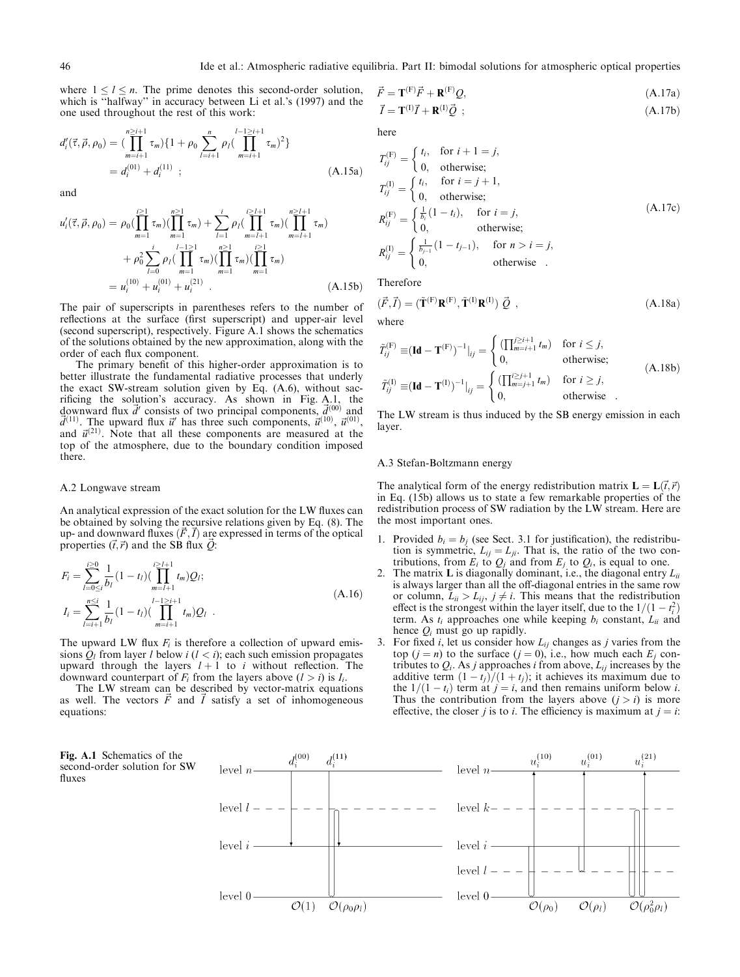where  $1 \leq l \leq n$ . The prime denotes this second-order solution, which is  $\overline{``halfway''}$  in accuracy between Li et al.'s (1997) and the one used throughout the rest of this work:

$$
d'_{i}(\vec{\tau}, \vec{\rho}, \rho_{0}) = (\prod_{m=i+1}^{n \geq i+1} \tau_{m}) \{1 + \rho_{0} \sum_{l=i+1}^{n} \rho_{l} (\prod_{m=i+1}^{l-1 \geq i+1} \tau_{m})^{2} \}
$$
  
=  $d_{i}^{(01)} + d_{i}^{(11)}$ ; (A.15a)

and

$$
u'_{i}(\vec{\tau}, \vec{\rho}, \rho_{0}) = \rho_{0}(\prod_{m=1}^{i \geq 1} \tau_{m}) (\prod_{m=1}^{n \geq 1} \tau_{m}) + \sum_{l=1}^{i} \rho_{l}(\prod_{m=l+1}^{i \geq l+1} \tau_{m}) (\prod_{m=l+1}^{n \geq l+1} \tau_{m})
$$
  
+  $\rho_{0}^{2} \sum_{l=0}^{i} \rho_{l}(\prod_{m=1}^{l-1 \geq 1} \tau_{m}) (\prod_{m=1}^{n \geq 1} \tau_{m})$   
=  $u_{i}^{(10)} + u_{i}^{(01)} + u_{i}^{(21)}$  (A.15b)

The pair of superscripts in parentheses refers to the number of reflections at the surface (first superscript) and upper-air level (second superscript), respectively. Figure A.1 shows the schematics of the solutions obtained by the new approximation, along with the order of each flux component.

The primary benefit of this higher-order approximation is to better illustrate the fundamental radiative processes that underly the exact SW-stream solution given by Eq. (A.6), without sacrificing the solution's accuracy. As shown in Fig. A.1, the downward flux  $\vec{d}$  consists of two principal components,  $\vec{d}^{(00)}$  and  $\vec{d}^{(11)}$ . The upward flux  $\vec{u}$  has three such components,  $\vec{u}^{(10)}$ ,  $\vec{u}^{(01)}$ , and  $\vec{u}^{(21)}$ . Note that all these components are measured at the top of the atmosphere, due to the boundary condition imposed there.

#### A.2 Longwave stream

An analytical expression of the exact solution for the LW fluxes can be obtained by solving the recursive relations given by Eq. (8). The up- and downward fluxes  $(\vec{F}, \vec{I})$  are expressed in terms of the optical properties  $(\vec{t}, \vec{r})$  and the SB flux Q:

$$
F_i = \sum_{l=0}^{i\geq 0} \frac{1}{b_l} (1 - t_l) (\prod_{m=l+1}^{i\geq l+1} t_m) Q_l;
$$
  
\n
$$
I_i = \sum_{l=i+1}^{n\leq i} \frac{1}{b_l} (1 - t_l) (\prod_{m=i+1}^{l-1\geq i+1} t_m) Q_l.
$$
\n(A.16)

The upward LW flux  $F_i$  is therefore a collection of upward emissions  $\tilde{Q}_l$  from layer *l* below *i* ( $l < i$ ); each such emission propagates upward through the layers  $l+1$  to i without reflection. The downward counterpart of  $F_i$  from the layers above  $(l > i)$  is  $I_i$ .

The LW stream can be described by vector-matrix equations as well. The vectors  $\vec{F}$  and  $\vec{I}$  satisfy a set of inhomogeneous equations:

$$
\vec{F} = \mathbf{T}^{(\mathrm{F})}\vec{F} + \mathbf{R}^{(\mathrm{F})}Q,\tag{A.17a}
$$

$$
\vec{I} = \mathbf{T}^{(1)}\vec{I} + \mathbf{R}^{(1)}\vec{O} \tag{A.17b}
$$

here

$$
T_{ij}^{(F)} = \begin{cases} t_i, & \text{for } i+1=j, \\ 0, & \text{otherwise;} \end{cases}
$$
\n
$$
T_{ij}^{(I)} = \begin{cases} t_i, & \text{for } i=j+1, \\ 0, & \text{otherwise;} \end{cases}
$$
\n
$$
R_{ij}^{(F)} = \begin{cases} \frac{1}{b_i}(1-t_i), & \text{for } i=j, \\ 0, & \text{otherwise;} \end{cases}
$$
\n
$$
R_{ij}^{(I)} = \begin{cases} \frac{1}{b_{j-1}}(1-t_{j-1}), & \text{for } n>i=j, \\ 0, & \text{otherwise} \end{cases}
$$
\n(A.17c)

Therefore

$$
(\vec{F}, \vec{I}) = (\tilde{\mathbf{T}}^{(F)} \mathbf{R}^{(F)}, \tilde{\mathbf{T}}^{(I)} \mathbf{R}^{(I)}) \vec{Q} ,
$$
 (A.18a)

where

$$
\tilde{T}_{ij}^{(\mathrm{F})} \equiv (\mathbf{Id} - \mathbf{T}^{(\mathrm{F})})^{-1}|_{ij} = \begin{cases}\n(\prod_{m=i+1}^{j \ge i+1} t_m) & \text{for } i \le j, \\
0, & \text{otherwise};\n\end{cases}
$$
\n
$$
\tilde{T}_{ij}^{(\mathrm{I})} \equiv (\mathbf{Id} - \mathbf{T}^{(\mathrm{I})})^{-1}|_{ij} = \begin{cases}\n(\prod_{m=j+1}^{i \ge j+1} t_m) & \text{for } i \ge j, \\
0, & \text{otherwise}.\n\end{cases}
$$
\n(A.18b)

The LW stream is thus induced by the SB energy emission in each laver.

#### A.3 Stefan-Boltzmann energy

The analytical form of the energy redistribution matrix  $\mathbf{L} = \mathbf{L}(\vec{t}, \vec{r})$ in Eq. (15b) allows us to state a few remarkable properties of the redistribution process of SW radiation by the LW stream. Here are the most important ones.

- 1. Provided  $b_i = b_j$  (see Sect. 3.1 for justification), the redistribution is symmetric,  $L_{ij} = L_{ji}$ . That is, the ratio of the two contributions, from  $E_i$  to  $Q_j$  and from  $E_j$  to  $Q_i$ , is equal to one.
- 2. The matrix **L** is diagonally dominant, i.e., the diagonal entry  $L_{ii}$ is always larger than all the off-diagonal entries in the same row or column,  $L_{ii} > L_{ij}$ ,  $j \neq i$ . This means that the redistribution effect is the strongest within the layer itself, due to the  $1/(1-t_i^2)$ term. As  $t_i$  approaches one while keeping  $b_i$  constant,  $L_{ii}$  and hence  $Q_i$  must go up rapidly.
- For fixed *i*, let us consider how  $L_{ij}$  changes as *j* varies from the  $3.$ top  $(i = n)$  to the surface  $(i = 0)$ , i.e., how much each  $E_i$  contributes to  $Q_i$ . As *j* approaches *i* from above,  $L_{ij}$  increases by the additive term  $(1-t_i)/(1+t_i)$ ; it achieves its maximum due to the  $1/(1-t_i)$  term at  $j = i$ , and then remains uniform below i. Thus the contribution from the layers above  $(j > i)$  is more effective, the closer *j* is to *i*. The efficiency is maximum at  $j = i$ :



Fig. A.1 Schematics of the second-order solution for SW fluxes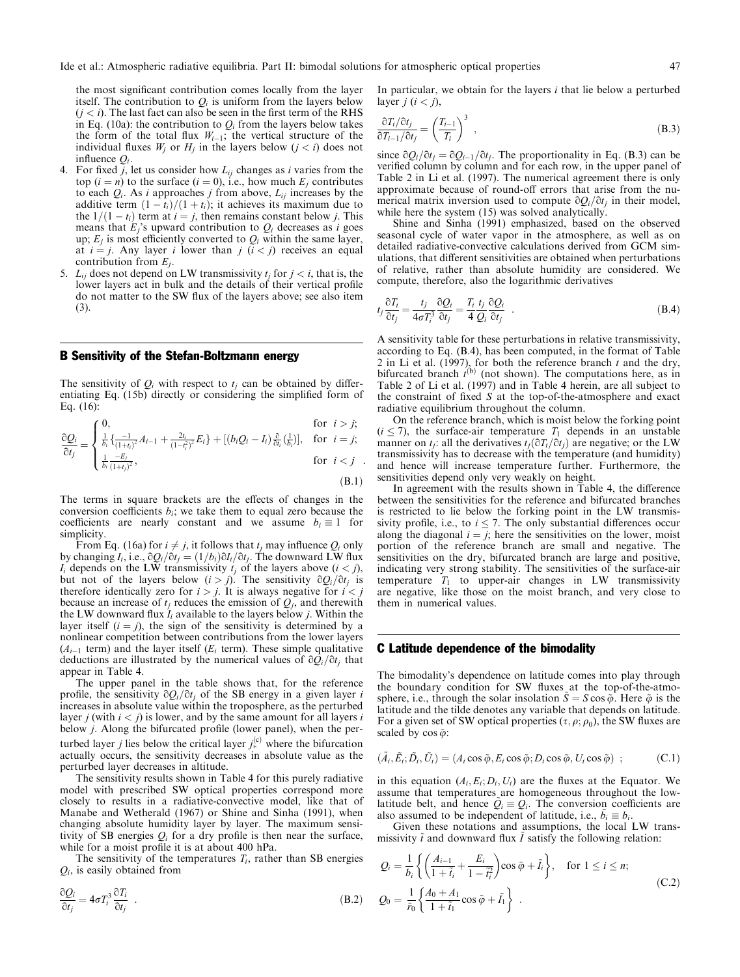the most significant contribution comes locally from the layer itself. The contribution to  $Q_i$  is uniform from the layers below  $(j < i)$ . The last fact can also be seen in the first term of the RHS in Eq. (10a): the contribution to  $Q_i$  from the layers below takes the form of the total flux  $W_{i-1}$ ; the vertical structure of the individual fluxes  $W_i$  or  $H_i$  in the layers below  $(j < i)$  does not influence  $Q_i$ .

- 4. For fixed  $\tilde{j}$ , let us consider how  $L_{ij}$  changes as i varies from the top  $(i = n)$  to the surface  $(i = 0)$ , i.e., how much  $E_i$  contributes to each  $Q_i$ . As i approaches j from above,  $L_{ij}$  increases by the additive term  $(1 - t_i)/(1 + t_i)$ ; it achieves its maximum due to the  $1/(1-t_i)$  term at  $i = j$ , then remains constant below j. This means that  $E_i$ 's upward contribution to  $Q_i$  decreases as i goes up;  $E_i$  is most efficiently converted to  $Q_i$  within the same layer, at  $i = j$ . Any layer i lower than  $j$   $(i < j)$  receives an equal contribution from  $E_i$ .
- $L_{ii}$  does not depend on LW transmissivity  $t_i$  for  $j < i$ , that is, the 5. lower layers act in bulk and the details of their vertical profile do not matter to the SW flux of the layers above; see also item  $(3).$

## **B** Sensitivity of the Stefan-Boltzmann energy

The sensitivity of  $Q_i$  with respect to  $t_i$  can be obtained by differentiating Eq. (15b) directly or considering the simplified form of Eq.  $(16)$ :

$$
\frac{\partial Q_i}{\partial t_j} = \begin{cases}\n0, & \text{for } i > j; \\
\frac{1}{b_i} \left\{ \frac{-1}{(1+t_i)^2} A_{i-1} + \frac{2t_i}{(1-t_i^2)^2} E_i \right\} + \left[ (b_i Q_i - I_i) \frac{\partial}{\partial t_i} \left( \frac{1}{b_i} \right) \right], & \text{for } i = j; \\
\frac{1}{b_i} \frac{-E_j}{(1+t_j)^2}, & \text{for } i < j \n\end{cases}.
$$
\n(B.1)

The terms in square brackets are the effects of changes in the conversion coefficients  $b_i$ ; we take them to equal zero because the coefficients are nearly constant and we assume  $b_i \equiv 1$  for simplicity.

From Eq. (16a) for  $i \neq j$ , it follows that  $t_i$  may influence  $Q_i$  only by changing  $I_i$ , i.e.,  $\partial Q_i/\partial t_j = (1/b_i)\partial I_i/\partial t_j$ . The downward LW flux  $I_i$  depends on the LW transmissivity  $t_j$  of the layers above  $(i < j)$ , but not of the layers below  $(i > j)$ . The sensitivity  $\partial Q_i / \partial t_j$  is therefore identically zero for  $i > j$ . It is always negative for  $i < j$ because an increase of  $t_i$  reduces the emission of  $Q_i$ , and therewith the LW downward flux  $I_i$  available to the layers below j. Within the layer itself  $(i = j)$ , the sign of the sensitivity is determined by a nonlinear competition between contributions from the lower layers  $(A_{i-1}$  term) and the layer itself ( $E_i$  term). These simple qualitative deductions are illustrated by the numerical values of  $\partial Q_i/\partial t_i$  that appear in Table 4.

The upper panel in the table shows that, for the reference profile, the sensitivity  $\partial Q_i/\partial t_i$  of the SB energy in a given layer i increases in absolute value within the troposphere, as the perturbed layer  $j$  (with  $i < j$ ) is lower, and by the same amount for all layers  $i$ below *j*. Along the bifurcated profile (lower panel), when the perturbed layer *j* lies below the critical layer  $j_{\ast}^{(c)}$  where the bifurcation actually occurs, the sensitivity decreases in absolute value as the perturbed layer decreases in altitude.

The sensitivity results shown in Table 4 for this purely radiative model with prescribed SW optical properties correspond more closely to results in a radiative-convective model, like that of Manabe and Wetherald (1967) or Shine and Sinha (1991), when changing absolute humidity layer by layer. The maximum sensitivity of SB energies  $Q_i$  for a dry profile is then near the surface, while for a moist profile it is at about 400 hPa.

The sensitivity of the temperatures  $T_i$ , rather than SB energies  $Q_i$ , is easily obtained from

$$
\frac{\partial Q_i}{\partial t_j} = 4\sigma T_i^3 \frac{\partial T_i}{\partial t_j} \tag{B.2}
$$

In particular, we obtain for the layers  $i$  that lie below a perturbed layer  $j$   $(i < j)$ ,

$$
\frac{\partial T_i/\partial t_j}{\partial T_{i-1}/\partial t_j} = \left(\frac{T_{i-1}}{T_i}\right)^3 \tag{B.3}
$$

since  $\partial Q_i/\partial t_i = \partial Q_{i-1}/\partial t_i$ . The proportionality in Eq. (B.3) can be verified column by column and for each row, in the upper panel of Table 2 in Li et al. (1997). The numerical agreement there is only approximate because of round-off errors that arise from the numerical matrix inversion used to compute  $\partial Q_i/\partial t_i$  in their model, while here the system (15) was solved analytically.

Shine and Sinha (1991) emphasized, based on the observed seasonal cycle of water vapor in the atmosphere, as well as on detailed radiative-convective calculations derived from GCM simulations, that different sensitivities are obtained when perturbations of relative, rather than absolute humidity are considered. We compute, therefore, also the logarithmic derivatives

$$
t_j \frac{\partial T_i}{\partial t_j} = \frac{t_j}{4\sigma T_i^3} \frac{\partial Q_i}{\partial t_j} = \frac{T_i}{4} \frac{t_j}{Q_i} \frac{\partial Q_i}{\partial t_j} \tag{B.4}
$$

A sensitivity table for these perturbations in relative transmissivity, according to Eq. (B.4), has been computed, in the format of Table 2 in Li et al. (1997), for both the reference branch t and the dry, bifurcated branch  $t^{(b)}$  (not shown). The computations here, as in Table 2 of Li et al. (1997) and in Table 4 herein, are all subject to the constraint of fixed  $S$  at the top-of-the-atmosphere and exact radiative equilibrium throughout the column.

On the reference branch, which is moist below the forking point  $(i \le 7)$ , the surface-air temperature  $T_1$  depends in an unstable manner on  $t_i$ : all the derivatives  $t_i(\partial T_i/\partial t_i)$  are negative; or the LW transmissivity has to decrease with the temperature (and humidity) and hence will increase temperature further. Furthermore, the sensitivities depend only very weakly on height.

In agreement with the results shown in Table 4, the difference between the sensitivities for the reference and bifurcated branches is restricted to lie below the forking point in the LW transmissivity profile, i.e., to  $i \leq 7$ . The only substantial differences occur along the diagonal  $i = j$ ; here the sensitivities on the lower, moist portion of the reference branch are small and negative. The sensitivities on the dry, bifurcated branch are large and positive, indicating very strong stability. The sensitivities of the surface-air temperature  $T_1$  to upper-air changes in LW transmissivity are negative, like those on the moist branch, and very close to them in numerical values.

## C Latitude dependence of the bimodality

The bimodality's dependence on latitude comes into play through the boundary condition for SW fluxes at the top-of-the-atmosphere, i.e., through the solar insolation  $\tilde{S} = S \cos \tilde{\varphi}$ . Here  $\tilde{\varphi}$  is the latitude and the tilde denotes any variable that depends on latitude. For a given set of SW optical properties  $(\tau, \rho; \rho_0)$ , the SW fluxes are scaled by  $\cos \tilde{\varphi}$ :

$$
(\tilde{A}_i, \tilde{E}_i; \tilde{D}_i, \tilde{U}_i) = (A_i \cos \tilde{\varphi}, E_i \cos \tilde{\varphi}; D_i \cos \tilde{\varphi}, U_i \cos \tilde{\varphi}) ; \tag{C.1}
$$

in this equation  $(A_i, E_i; D_i, U_i)$  are the fluxes at the Equator. We assume that temperatures are homogeneous throughout the lowlatitude belt, and hence  $\tilde{Q}_i \equiv Q_i$ . The conversion coefficients are also assumed to be independent of latitude, i.e.,  $b_i \equiv b_i$ .

Given these notations and assumptions, the local LW transmissivity  $\tilde{t}$  and downward flux  $\tilde{I}$  satisfy the following relation:

$$
Q_i = \frac{1}{b_i} \left\{ \left( \frac{A_{i-1}}{1 + \tilde{t}_i} + \frac{E_i}{1 - \tilde{t}_i^2} \right) \cos \tilde{\varphi} + \tilde{t}_i \right\}, \quad \text{for } 1 \le i \le n;
$$
  

$$
Q_0 = \frac{1}{\tilde{r}_0} \left\{ \frac{A_0 + A_1}{1 + \tilde{t}_1} \cos \tilde{\varphi} + \tilde{t}_1 \right\} .
$$
 (C.2)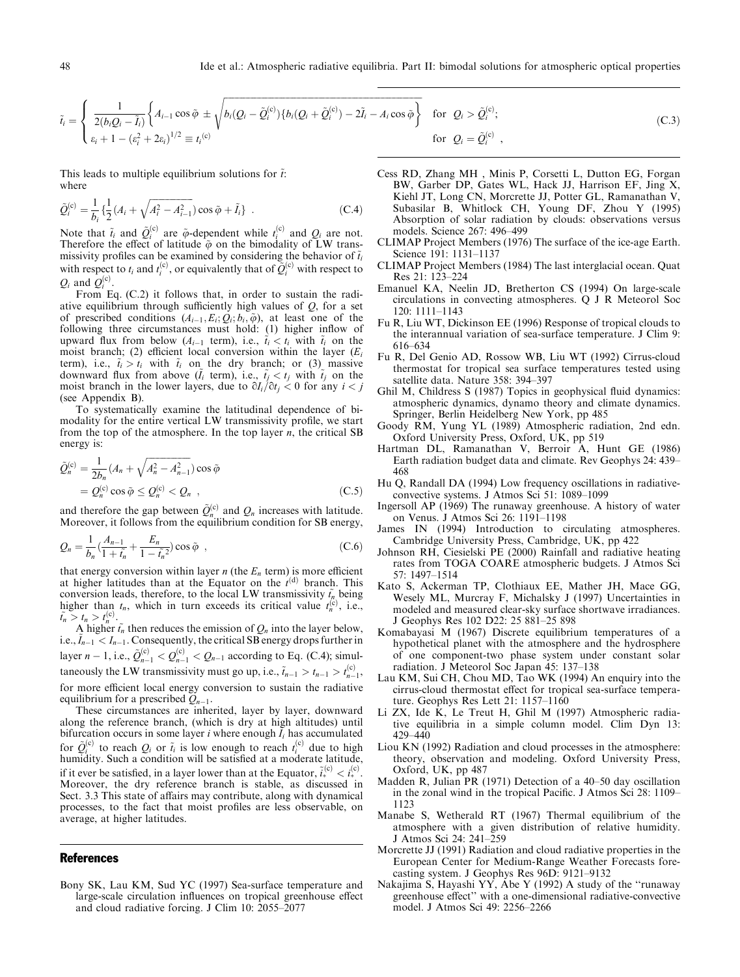$$
\tilde{t}_{i} = \begin{cases}\n\frac{1}{2(b_{i}Q_{i} - \tilde{I}_{i})} \left\{ A_{i-1} \cos \tilde{\varphi} \pm \sqrt{b_{i}(Q_{i} - \tilde{Q}_{i}^{(c)}) \{b_{i}(Q_{i} + \tilde{Q}_{i}^{(c)}) - 2\tilde{I}_{i} - A_{i} \cos \tilde{\varphi} \}} \quad \text{for } Q_{i} > \tilde{Q}_{i}^{(c)}; \\
\varepsilon_{i} + 1 - (\varepsilon_{i}^{2} + 2\varepsilon_{i})^{1/2} \equiv t_{i}^{(c)} \n\end{cases} \tag{C.3}
$$

This leads to multiple equilibrium solutions for  $\tilde{t}$ : where

$$
\tilde{Q}_i^{(c)} = \frac{1}{b_i} \{ \frac{1}{2} (A_i + \sqrt{A_i^2 - A_{i-1}^2}) \cos \tilde{\varphi} + \tilde{I}_i \} .
$$
 (C.4)

Note that  $\tilde{t}_i$  and  $\tilde{Q}_i^{(c)}$  are  $\tilde{\varphi}$ -dependent while  $t_i^{(c)}$  and  $Q_i$  are not. Therefore the effect of latitude  $\tilde{\varphi}$  on the bimodality of LW transmissivity profiles can be examined by considering the behavior of  $\tilde{t}_i$ with respect to  $t_i$  and  $t_i^{(c)}$ , or equivalently that of  $\widetilde{Q}_i^{(c)}$  with respect to  $Q_i$  and  $Q_i^{(c)}$ .

From Eq. (C.2) it follows that, in order to sustain the radiative equilibrium through sufficiently high values of  $Q$ , for a set of prescribed conditions  $(A_{i-1}, E_i; Q_i; b_i, \tilde{\varphi})$ , at least one of the following three circumstances must hold: (1) higher inflow of upward flux from below  $(A_{i-1}$  term), i.e.,  $\tilde{t}_i < t_i$  with  $\tilde{t}_i$  on the moist branch; (2) efficient local conversion within the layer  $(E<sub>i</sub>)$ term), i.e.,  $\tilde{t}_i > t_i$  with  $\tilde{t}_i$  on the dry branch; or (3) massive downward flux from above  $(\tilde{I}_i$  term), i.e.,  $\tilde{t}_j < t_j$  with  $\tilde{t}_j$  on the moist branch in the lower layers, due to  $\partial I_i/\partial t_i < 0$  for any  $i < j$ (see Appendix B).

To systematically examine the latitudinal dependence of bimodality for the entire vertical LW transmissivity profile, we start from the top of the atmosphere. In the top layer  $n$ , the critical SB energy is:

$$
\tilde{Q}_n^{(c)} = \frac{1}{2b_n} (A_n + \sqrt{A_n^2 - A_{n-1}^2}) \cos \tilde{\varphi}
$$
  
=  $Q_n^{(c)} \cos \tilde{\varphi} \le Q_n^{(c)} < Q_n$ , (C.5)

and therefore the gap between  $\tilde{Q}_n^{(c)}$  and  $Q_n$  increases with latitude. Moreover, it follows from the equilibrium condition for SB energy,

$$
Q_n = \frac{1}{b_n} \left( \frac{A_{n-1}}{1 + \tilde{t}_n} + \frac{E_n}{1 - \tilde{t}_n^2} \right) \cos \tilde{\varphi} \tag{C.6}
$$

that energy conversion within layer  $n$  (the  $E_n$  term) is more efficient at higher latitudes than at the Equator on the  $t^{(d)}$  branch. This conversion leads, therefore, to the local LW transmissivity  $\tilde{t}_n$  being higher than  $t_n$ , which in turn exceeds its critical value  $t_n^{(c)}$ , i.e.,  $t_n > t_n > t_n^{(c)}$ .

A higher  $\tilde{t}_n$  then reduces the emission of  $Q_n$  into the layer below, i.e.,  $I_{n-1} < I_{n-1}$ . Consequently, the critical SB energy drops further in layer  $n-1$ , i.e.,  $\tilde{Q}_{n-1}^{(c)} < Q_{n-1}^{(c)} < Q_{n-1}$  according to Eq. (C.4); simultaneously the LW transmissivity must go up, i.e.,  $\tilde{t}_{n-1} > t_{n-1} > t_{n-1}^{(c)}$ , for more efficient local energy conversion to sustain the radiative equilibrium for a prescribed  $Q_{n-1}$ .

These circumstances are inherited, layer by layer, downward along the reference branch, (which is dry at high altitudes) until bifurcation occurs in some layer *i* where enough  $\tilde{I}_i$  has accumulated for  $\tilde{Q}_i^{(c)}$  to reach  $Q_i$  or  $\tilde{t}_i$  is low enough to reach  $t_i^{(c)}$  due to high humidity. Such a condition will be satisfied at a moderate latitude, if it ever be satisfied, in a layer lower than at the Equator,  $\tilde{i}_{*}^{(c)} < i_{*}^{(c)}$ . Moreover, the dry reference branch is stable, as discussed in Sect. 3.3 This state of affairs may contribute, along with dynamical processes, to the fact that moist profiles are less observable, on average, at higher latitudes.

# **References**

Bony SK, Lau KM, Sud YC (1997) Sea-surface temperature and large-scale circulation influences on tropical greenhouse effect and cloud radiative forcing. J Clim 10: 2055-2077

- Cess RD, Zhang MH, Minis P, Corsetti L, Dutton EG, Forgan BW, Garber DP, Gates WL, Hack JJ, Harrison EF, Jing X, Kiehl JT, Long CN, Morcrette JJ, Potter GL, Ramanathan V, Subasilar B, Whitlock CH, Young DF, Zhou Y (1995) Absorption of solar radiation by clouds: observations versus models. Science 267: 496-499
- CLIMAP Project Members (1976) The surface of the ice-age Earth. Science 191: 1131-1137
- CLIMAP Project Members (1984) The last interglacial ocean. Quat Res 21: 123-224
- Emanuel KA, Neelin JD, Bretherton CS (1994) On large-scale circulations in convecting atmospheres. Q J R Meteorol Soc  $120: 1111 - 1143$
- Fu R, Liu WT, Dickinson EE (1996) Response of tropical clouds to the interannual variation of sea-surface temperature. J Clim 9: 616-634
- Fu R, Del Genio AD, Rossow WB, Liu WT (1992) Cirrus-cloud thermostat for tropical sea surface temperatures tested using satellite data. Nature 358: 394-397
- Ghil M, Childress S (1987) Topics in geophysical fluid dynamics: atmospheric dynamics, dynamo theory and climate dynamics. Springer, Berlin Heidelberg New York, pp 485
- Goody RM, Yung YL (1989) Atmospheric radiation, 2nd edn. Oxford University Press, Oxford, UK, pp 519
- Hartman DL, Ramanathan V, Berroir A, Hunt GE (1986) Earth radiation budget data and climate. Rev Geophys 24: 439-468
- Hu Q, Randall DA (1994) Low frequency oscillations in radiativeconvective systems. J Atmos Sci 51: 1089-1099
- Ingersoll AP (1969) The runaway greenhouse. A history of water on Venus. J Atmos Sci 26: 1191-1198
- James IN (1994) Introduction to circulating atmospheres. Cambridge University Press, Cambridge, UK, pp 422
- Johnson RH, Ciesielski PE (2000) Rainfall and radiative heating rates from TOGA COARE atmospheric budgets. J Atmos Sci 57: 1497-1514
- Kato S, Ackerman TP, Clothiaux EE, Mather JH, Mace GG, Wesely ML, Murcray F, Michalsky J (1997) Uncertainties in modeled and measured clear-sky surface shortwave irradiances. J Geophys Res 102 D22: 25 881-25 898
- Komabayasi M (1967) Discrete equilibrium temperatures of a hypothetical planet with the atmosphere and the hydrosphere of one component-two phase system under constant solar radiation. J Meteorol Soc Japan 45: 137-138
- Lau KM, Sui CH, Chou MD, Tao WK (1994) An enquiry into the cirrus-cloud thermostat effect for tropical sea-surface temperature. Geophys Res Lett 21: 1157-1160
- Li ZX, Ide K, Le Treut H, Ghil M (1997) Atmospheric radiative equilibria in a simple column model. Clim Dyn 13:  $429 - 440$
- Liou KN (1992) Radiation and cloud processes in the atmosphere: theory, observation and modeling. Oxford University Press, Oxford, UK, pp 487
- Madden R, Julian PR (1971) Detection of a 40–50 day oscillation in the zonal wind in the tropical Pacific. J Atmos Sci 28: 1109– 1123
- Manabe S, Wetherald RT (1967) Thermal equilibrium of the atmosphere with a given distribution of relative humidity. J Atmos Sci 24: 241-259
- Morcrette JJ (1991) Radiation and cloud radiative properties in the European Center for Medium-Range Weather Forecasts forecasting system. J Geophys Res 96D: 9121-9132
- Nakajima S, Hayashi YY, Abe Y (1992) A study of the "runaway greenhouse effect" with a one-dimensional radiative-convective model. J Atmos Sci 49: 2256-2266